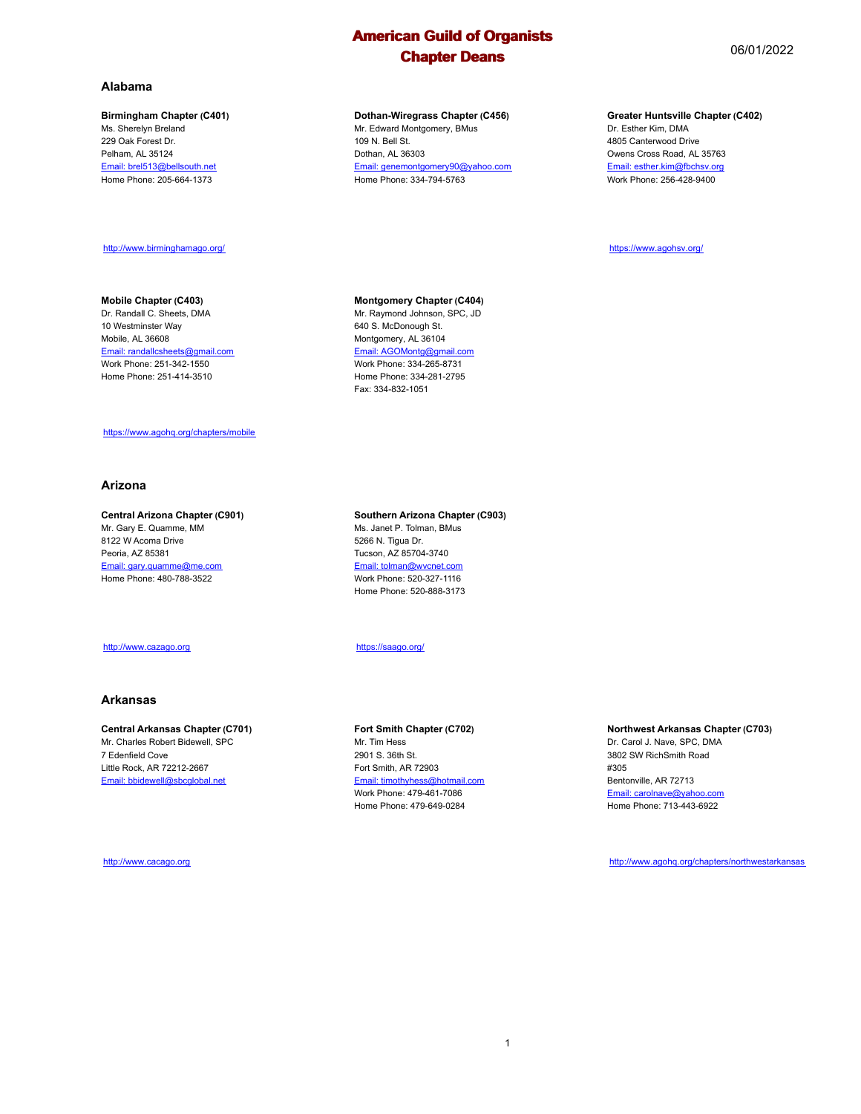**Dothan-Wiregrass Chapter (C456)** Mr. Edward Montgomery, BMus

Email: genemontgomery90@yahoo.com Home Phone: 334-794-5763

109 N. Bell St. Dothan, AL 36303

#### **Alabama**

#### **Birmingham Chapter (C401)**

Ms. Sherelyn Breland 229 Oak Forest Dr. Pelham, AL 35124 Email: brel513@bellsouth.net Home Phone: 205-664-1373

#### http://www.birminghamago.org/

#### **Mobile Chapter (C403)**

Dr. Randall C. Sheets, DMA 10 Westminster Way Mobile, AL 36608 Email: randallcsheets@gmail.com Work Phone: 251-342-1550 Home Phone: 251-414-3510

## **Montgomery Chapter (C404)**

Mr. Raymond Johnson, SPC, JD 640 S. McDonough St. Montgomery, AL 36104 Email: AGOMontg@gmail.com Work Phone: 334-265-8731 Home Phone: 334-281-2795 Fax: 334-832-1051

#### https://www.agohq.org/chapters/mobile

#### **Arizona**

#### **Central Arizona Chapter (C901)**

Mr. Gary E. Quamme, MM 8122 W Acoma Drive Peoria, AZ 85381 Email: gary.quamme@me.com Home Phone: 480-788-3522

#### http://www.cazago.org

#### **Arkansas**

#### **Central Arkansas Chapter (C701)** Mr. Charles Robert Bidewell, SPC

7 Edenfield Cove Little Rock, AR 72212-2667 Email: bbidewell@sbcglobal.net

http://www.cacago.org

#### **Southern Arizona Chapter (C903)** Ms. Janet P. Tolman, BMus 5266 N. Tigua Dr. Tucson, AZ 85704-3740 Email: tolman@wvcnet.com Work Phone: 520-327-1116 Home Phone: 520-888-3173

#### https://saago.org/

#### **Fort Smith Chapter (C702)** Mr. Tim Hess 2901 S. 36th St.

Fort Smith, AR 72903 Email: timothyhess@hotmail.com Work Phone: 479-461-7086 Home Phone: 479-649-0284

#### **Greater Huntsville Chapter (C402)** Dr. Esther Kim, DMA

4805 Canterwood Drive Owens Cross Road, AL 35763 Email: esther.kim@fbchsv.org Work Phone: 256-428-9400

https://www.agohsv.org/

#### **Northwest Arkansas Chapter (C703)**

Dr. Carol J. Nave, SPC, DMA 3802 SW RichSmith Road #305 Bentonville, AR 72713 Email: carolnave@yahoo.com Home Phone: 713-443-6922

http://www.agohq.org/chapters/northwestarkansas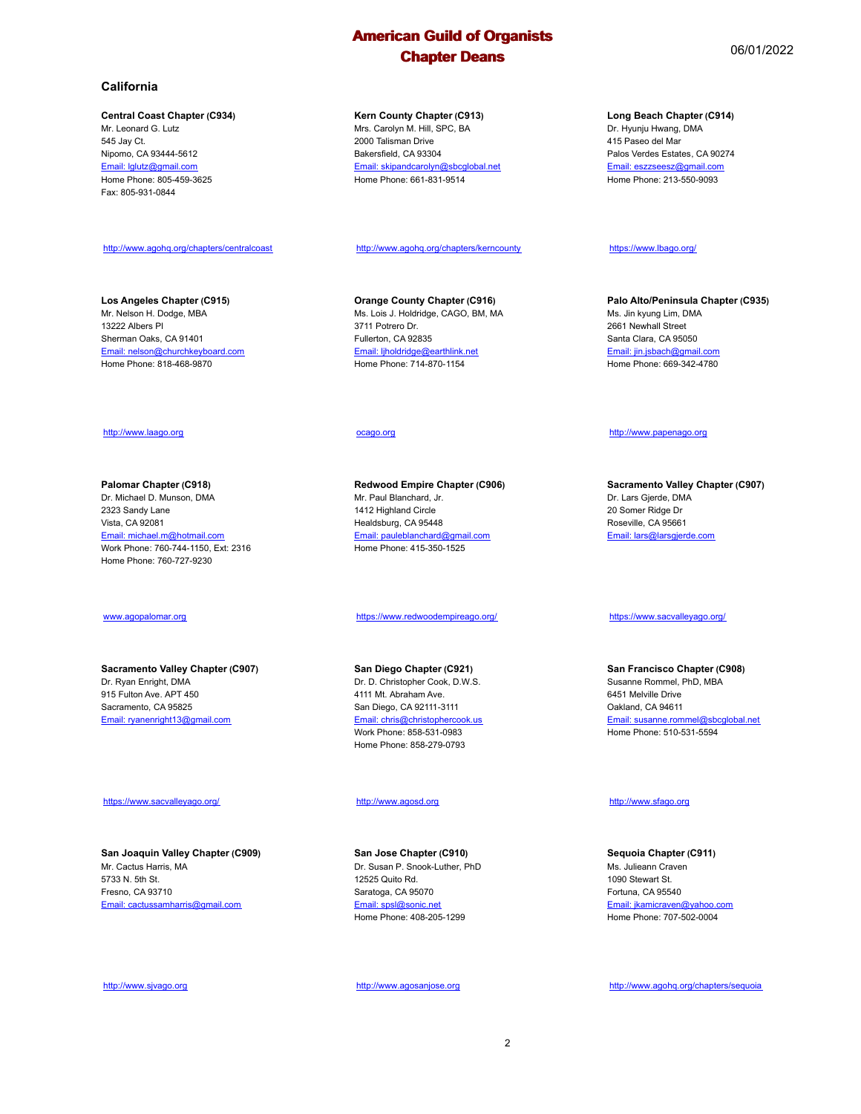#### **California**

#### **Central Coast Chapter (C934)**

Mr. Leonard G. Lutz 545 Jay Ct. Nipomo, CA 93444-5612 Email: lglutz@gmail.com Home Phone: 805-459-3625 Fax: 805-931-0844

http://www.agohq.org/chapters/centralcoast

### **Los Angeles Chapter (C915)**

Mr. Nelson H. Dodge, MBA 13222 Albers Pl Sherman Oaks, CA 91401 Email: nelson@churchkeyboard.com Home Phone: 818-468-9870

#### http://www.laago.org

**Palomar Chapter (C918)** Dr. Michael D. Munson, DMA 2323 Sandy Lane Vista, CA 92081 Email: michael.m@hotmail.com Work Phone: 760-744-1150, Ext: 2316 Home Phone: 760-727-9230

#### www.agopalomar.org

#### **Sacramento Valley Chapter (C907)** Dr. Ryan Enright, DMA 915 Fulton Ave. APT 450 Sacramento, CA 95825 Email: ryanenright13@gmail.com

#### https://www.sacvalleyago.org/

**San Joaquin Valley Chapter (C909)** Mr. Cactus Harris, MA 5733 N. 5th St. Fresno, CA 93710 Email: cactussamharris@gmail.com

http://www.sjvago.org

#### 2000 Talisman Drive Bakersfield, CA 93304

**Kern County Chapter (C913)** Mrs. Carolyn M. Hill, SPC, BA

Email: skipandcarolyn@sbcglobal.net Home Phone: 661-831-9514

http://www.agohq.org/chapters/kerncounty

**Orange County Chapter (C916)** Ms. Lois J. Holdridge, CAGO, BM, MA 3711 Potrero Dr. Fullerton, CA 92835 Email: ljholdridge@earthlink.net Home Phone: 714-870-1154

#### ocago.org

**Redwood Empire Chapter (C906)** Mr. Paul Blanchard, Jr. 1412 Highland Circle Healdsburg, CA 95448 Email: pauleblanchard@gmail.com Home Phone: 415-350-1525

#### https://www.redwoodempireago.org/

**San Diego Chapter (C921)** Dr. D. Christopher Cook, D.W.S. 4111 Mt. Abraham Ave. San Diego, CA 92111-3111 Email: chris@christophercook Work Phone: 858-531-0983 Home Phone: 858-279-0793

#### http://www.agosd.org

**San Jose Chapter (C910)** Dr. Susan P. Snook-Luther, PhD 12525 Quito Rd. Saratoga, CA 95070 Email: spsl@sonic.net Home Phone: 408-205-1299

http://www.agosanjose.org

## **Long Beach Chapter (C914)**

Dr. Hyunju Hwang, DMA 415 Paseo del Mar Palos Verdes Estates, CA 90274 Email: eszzseesz@gmail.com Home Phone: 213-550-9093

#### https://www.lbago.org/

**Palo Alto/Peninsula Chapter (C935)** Ms. Jin kyung Lim, DMA 2661 Newhall Street Santa Clara, CA 95050 Email: jin.jsbach@gmail.com Home Phone: 669-342-4780

#### http://www.papenago.org

**Sacramento Valley Chapter (C907)** Dr. Lars Gjerde, DMA 20 Somer Ridge Dr Roseville, CA 95661 Email: lars@larsgjerde.com

https://www.sacvalleyago.org/

**San Francisco Chapter (C908)** Susanne Rommel, PhD, MBA 6451 Melville Drive Oakland, CA 94611 Email: susanne.rommel@sbcglobal.net Home Phone: 510-531-5594

#### http://www.sfago.org

**Sequoia Chapter (C911)** Ms. Julieann Craven 1090 Stewart St. Fortuna, CA 95540 Email: jkamicraven@yahoo.com Home Phone: 707-502-0004

http://www.agohq.org/chapters/sequoia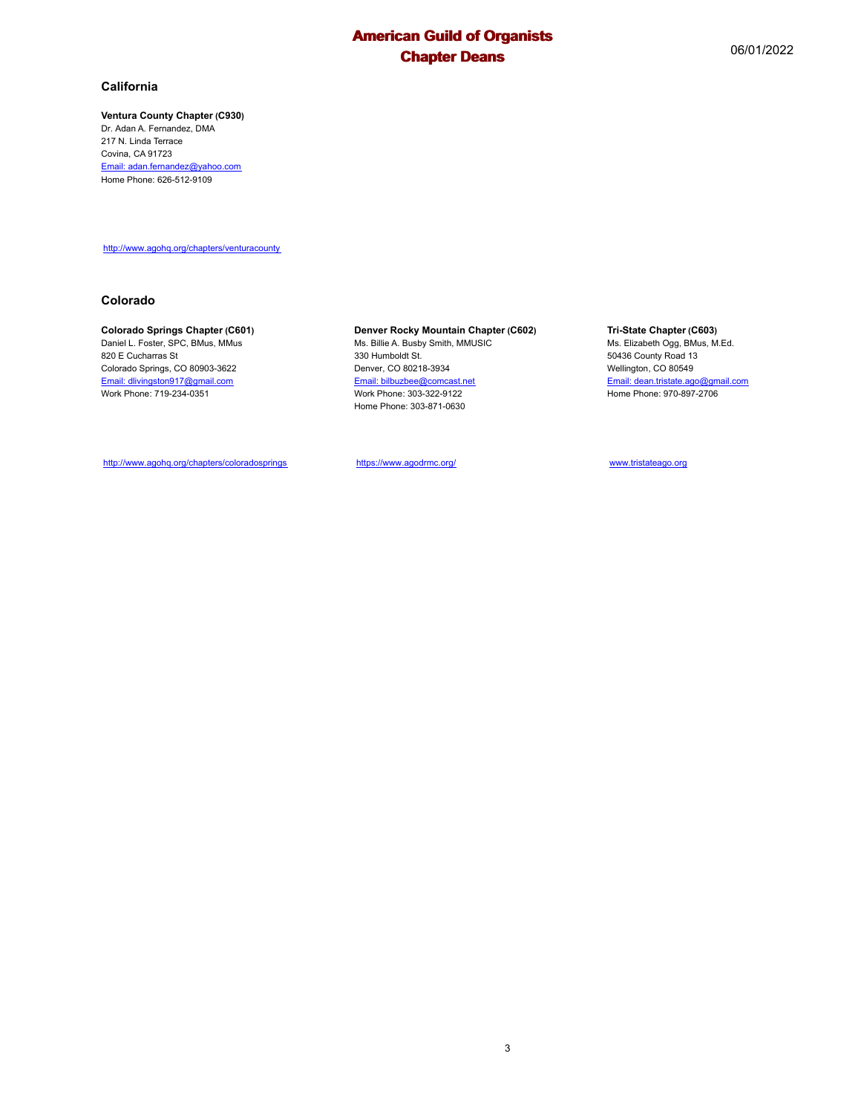#### **Ventura County Chapter (C930)**

Dr. Adan A. Fernandez, DMA 217 N. Linda Terrace Covina, CA 91723 Email: adan.fernandez@yahoo.com Home Phone: 626-512-9109

http://www.agohq.org/chapters/venturacounty

#### **Colorado**

#### **Colorado Springs Chapter (C601)**

Daniel L. Foster, SPC, BMus, MMus 820 E Cucharras St Colorado Springs, CO 80903-3622 Email: dlivingston917@gmail.com Work Phone: 719-234-0351

#### **Denver Rocky Mountain Chapter (C602)**

Ms. Billie A. Busby Smith, MMUSIC 330 Humboldt St. Denver, CO 80218-3934 Email: bilbuzbee@comcast.net Work Phone: 303-322-9122 Home Phone: 303-871-0630

#### **Tri-State Chapter (C603)**

Ms. Elizabeth Ogg, BMus, M.Ed. 50436 County Road 13 Wellington, CO 80549 Email: dean.tristate.ago@gmail.com Home Phone: 970-897-2706

http://www.agohq.org/chapters/coloradosprings

https://www.agodrmc.org/

www.tristateago.org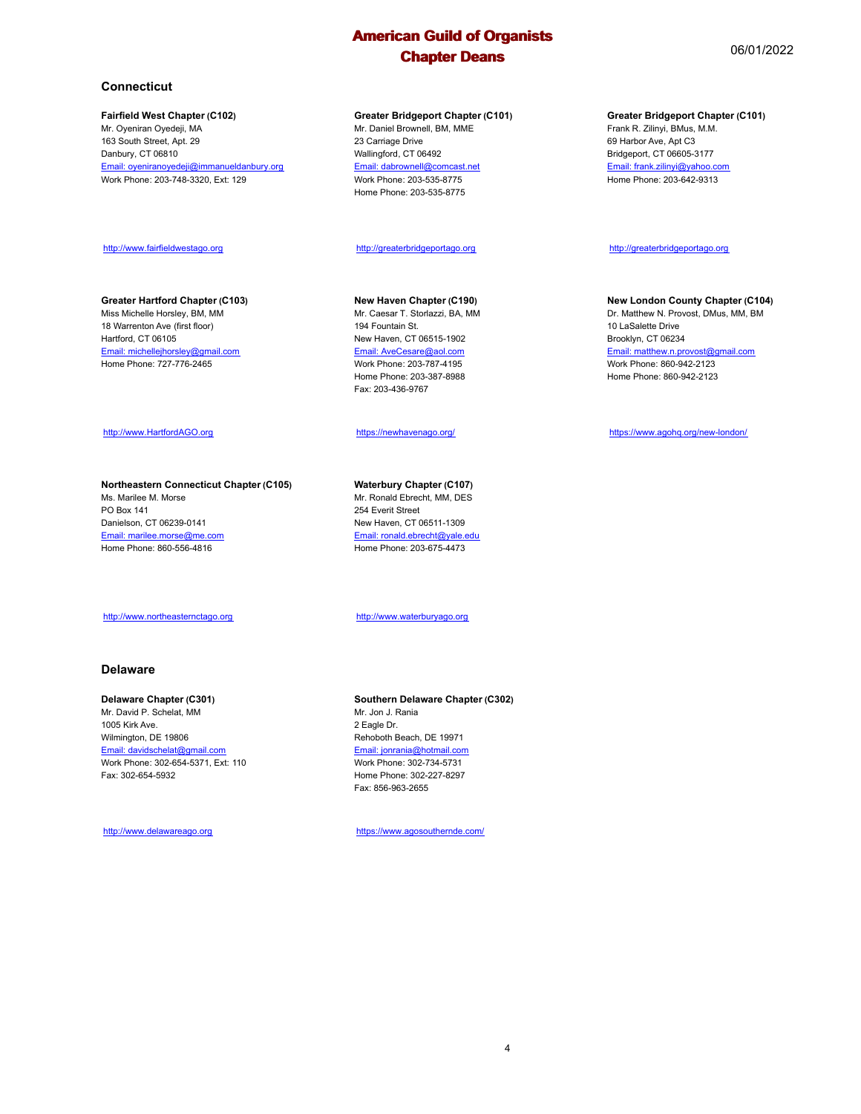#### **Connecticut**

#### **Fairfield West Chapter (C102)**

Mr. Oyeniran Oyedeji, MA 163 South Street, Apt. 29 Danbury, CT 06810 Email: oyeniranoyedeji@immanueldanbury.org Work Phone: 203-748-3320, Ext: 129

#### http://www.fairfieldwestago.org

#### **Greater Hartford Chapter (C103)**

Miss Michelle Horsley, BM, MM 18 Warrenton Ave (first floor) Hartford, CT 06105 Email: michellejhorsley@gmail.com Home Phone: 727-776-2465

#### http://www.HartfordAGO.org

**Northeastern Connecticut Chapter (C105)** Ms. Marilee M. Morse PO Box 141 Danielson, CT 06239-0141 Email: marilee.morse@me.com Home Phone: 860-556-4816

#### http://www.northeasternctago.org

#### **Delaware**

#### **Delaware Chapter (C301)**

Mr. David P. Schelat, MM 1005 Kirk Ave. Wilmington, DE 19806 Email: davidschelat@gmail.com Work Phone: 302-654-5371, Ext: 110 Fax: 302-654-5932

http://www.delawareago.org

#### **Greater Bridgeport Chapter (C101)**

Mr. Daniel Brownell, BM, MME 23 Carriage Drive Wallingford, CT 06492 Email: dabrownell@comcast.net Work Phone: 203-535-8775 Home Phone: 203-535-8775

#### http://greaterbridgeportago.org

#### **New Haven Chapter (C190)**

Mr. Caesar T. Storlazzi, BA, MM 194 Fountain St. New Haven, CT 06515-1902 Email: AveCesare@aol.com Work Phone: 203-787-4195 Home Phone: 203-387-8988 Fax: 203-436-9767

#### https://newhavenago.org/

#### **Waterbury Chapter (C107)** Mr. Ronald Ebrecht, MM, DES

254 Everit Street New Haven, CT 06511-1309 Email: ronald.ebrecht@yale.edu Home Phone: 203-675-4473

http://www.waterburyago.org

**Southern Delaware Chapter (C302)** Mr. Jon J. Rania 2 Eagle Dr. Rehoboth Beach, DE 19971 Email: jonrania@hotmail.com Work Phone: 302-734-5731 Home Phone: 302-227-8297 Fax: 856-963-2655

https://www.agosouthernde.com/

#### **Greater Bridgeport Chapter (C101)**

Frank R. Zilinyi, BMus, M.M. 69 Harbor Ave, Apt C3 Bridgeport, CT 06605-3177 Email: frank.zilinyi@yahoo.com Home Phone: 203-642-9313

#### http://greaterbridgeportago.org

#### **New London County Chapter (C104)**

Dr. Matthew N. Provost, DMus, MM, BM 10 LaSalette Drive Brooklyn, CT 06234 Email: matthew.n.provost@gmail.com Work Phone: 860-942-2123 Home Phone: 860-942-2123

#### https://www.agohq.org/new-london/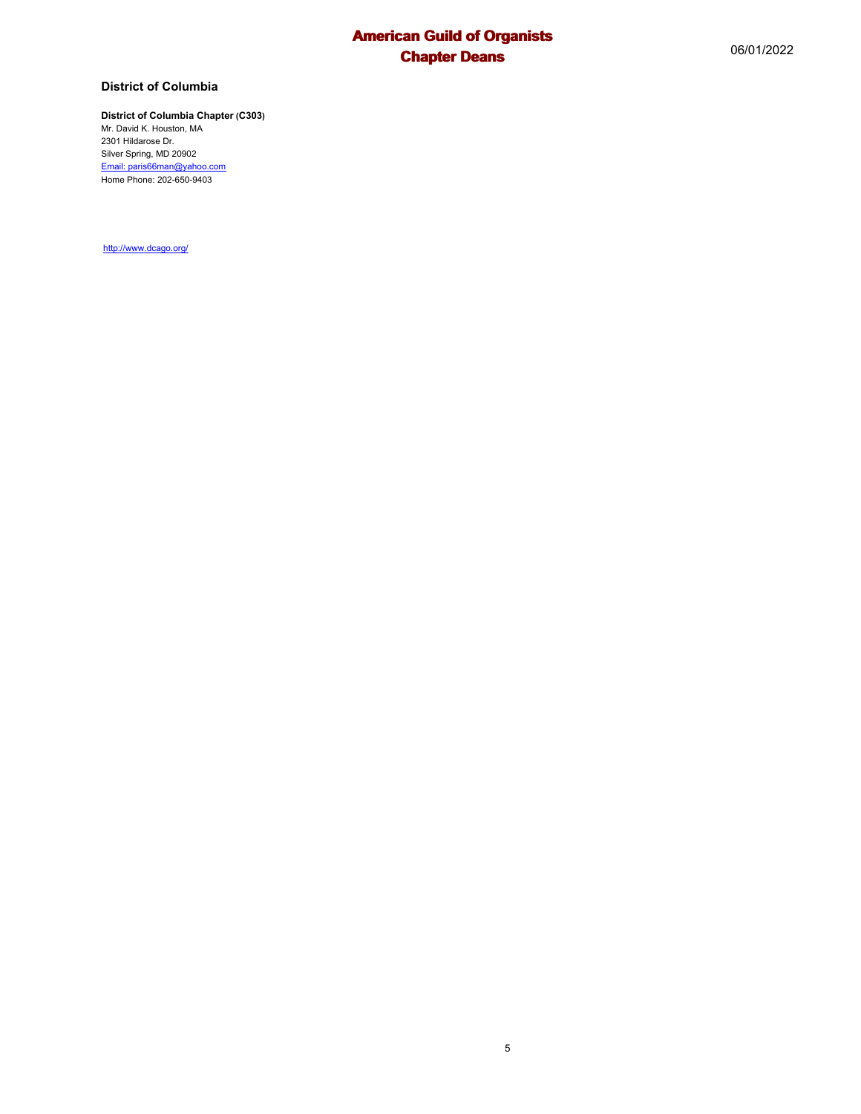## **District of Columbia**

## **District of Columbia Chapter (C303)**

Mr. David K. Houston, MA 2301 Hildarose Dr. Silver Spring, MD 20902 Email: paris66man@yahoo.com Home Phone: 202-650-9403

http://www.dcago.org/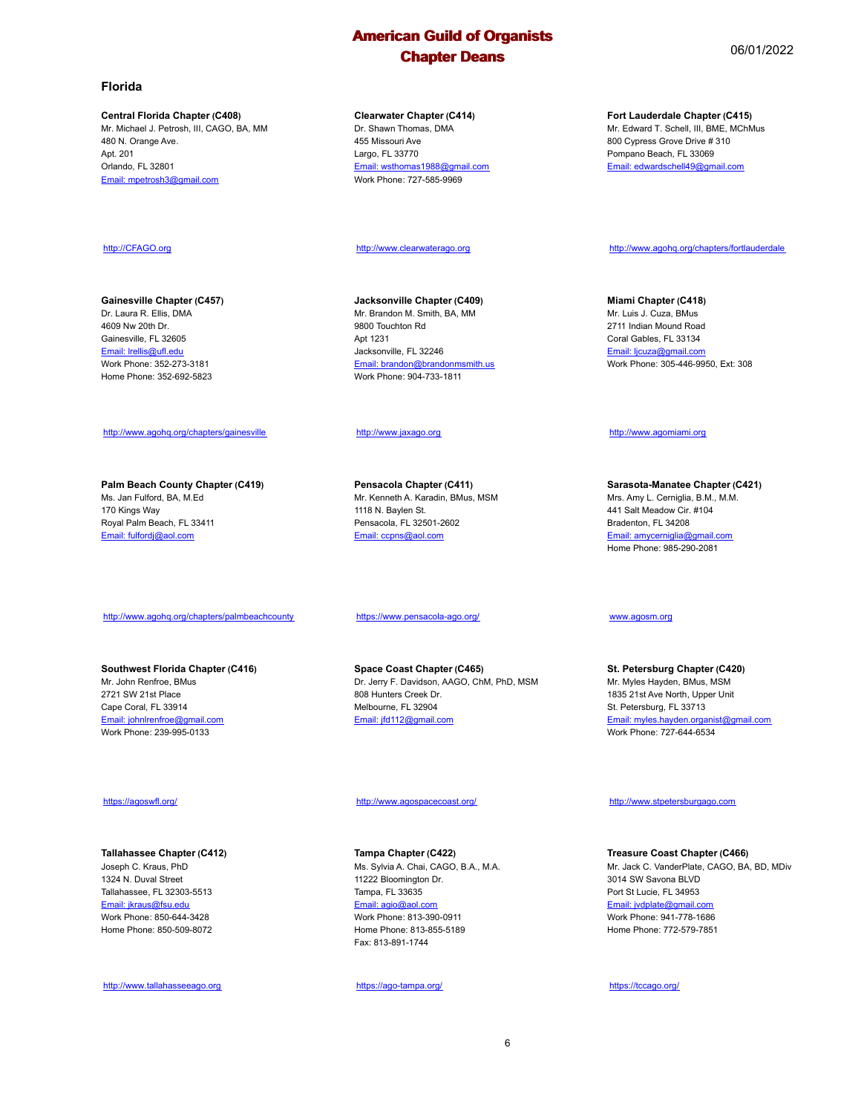#### **Florida**

#### **Central Florida Chapter (C408)**

Mr. Michael J. Petrosh, III, CAGO, BA, MM 480 N. Orange Ave. Apt. 201 Orlando, FL 32801 Email: mpetrosh3@gmail.com

#### **Clearwater Chapter (C414)**

Dr. Shawn Thomas, DMA 455 Missouri Ave Largo, FL 33770 Email: wsthomas1988@gmail.com Work Phone: 727-585-9969

http://www.clearwaterago.org

**Jacksonville Chapter (C409)** Mr. Brandon M. Smith, BA, MM 9800 Touchton Rd Apt 1231 Jacksonville, FL 32246 Email: brandon@brandonmsmith.us Work Phone: 904-733-1811

#### http://www.jaxago.org

**Pensacola Chapter (C411)** Mr. Kenneth A. Karadin, BMus, MSM 1118 N. Baylen St. Pensacola, FL 32501-2602 Email: ccpns@aol.com

https://www.pensacola-ago.org/

**Space Coast Chapter (C465)** Dr. Jerry F. Davidson, AAGO, ChM, PhD, MSM 808 Hunters Creek Dr. Melbourne, FL 32904 Email: jfd112@gmail.com

#### http://www.agospacecoast.org/

**Tampa Chapter (C422)** Ms. Sylvia A. Chai, CAGO, B.A., M.A. 11222 Bloomington Dr. Tampa, FL 33635 Email: agio@aol.com Work Phone: 813-390-0911 Home Phone: 813-855-5189 Fax: 813-891-1744

https://ago-tampa.org/

#### **Fort Lauderdale Chapter (C415)**

Mr. Edward T. Schell, III, BME, MChMus 800 Cypress Grove Drive # 310 Pompano Beach, FL 33069 Email: edwardschell49@gmail.com

#### http://www.agohq.org/chapters/fortlauderdale

**Miami Chapter (C418)** Mr. Luis J. Cuza, BMus 2711 Indian Mound Road Coral Gables, FL 33134 Email: ljcuza@gmail.com Work Phone: 305-446-9950, Ext: 308

#### http://www.agomiami.org

**Sarasota-Manatee Chapter (C421)** Mrs. Amy L. Cerniglia, B.M., M.M. 441 Salt Meadow Cir. #104 Bradenton, FL 34208 Email: amycerniglia@gmail.com Home Phone: 985-290-2081

www.agosm.org

**St. Petersburg Chapter (C420)** Mr. Myles Hayden, BMus, MSM 1835 21st Ave North, Upper Unit St. Petersburg, FL 33713 Email: myles.hayden.organist@gmail.com Work Phone: 727-644-6534

http://www.stpetersburgago.com

**Treasure Coast Chapter (C466)** Mr. Jack C. VanderPlate, CAGO, BA, BD, MDiv 3014 SW Savona BLVD Port St Lucie, FL 34953 Email: jvdplate@gmail.com Work Phone: 941-778-1686 Home Phone: 772-579-7851

https://tccago.org/

# **Gainesville Chapter (C457)**

http://CFAGO.org

Dr. Laura R. Ellis, DMA 4609 Nw 20th Dr. Gainesville, FL 32605 Email: lrellis@ufl.edu Work Phone: 352-273-3181 Home Phone: 352-692-5823

#### http://www.agohq.org/chapters/gainesville

**Palm Beach County Chapter (C419)** Ms. Jan Fulford, BA, M.Ed 170 Kings Way Royal Palm Beach, FL 33411 Email: fulfordj@aol.com

#### http://www.agohq.org/chapters/palmbeachcounty

**Southwest Florida Chapter (C416)** Mr. John Renfroe, BMus 2721 SW 21st Place Cape Coral, FL 33914 Email: johnlrenfroe@gmail.com Work Phone: 239-995-0133

#### https://agoswfl.org/

#### **Tallahassee Chapter (C412)**

Joseph C. Kraus, PhD 1324 N. Duval Street Tallahassee, FL 32303-5513 Email: jkraus@fsu.edu Work Phone: 850-644-3428 Home Phone: 850-509-8072

http://www.tallahasseeago.org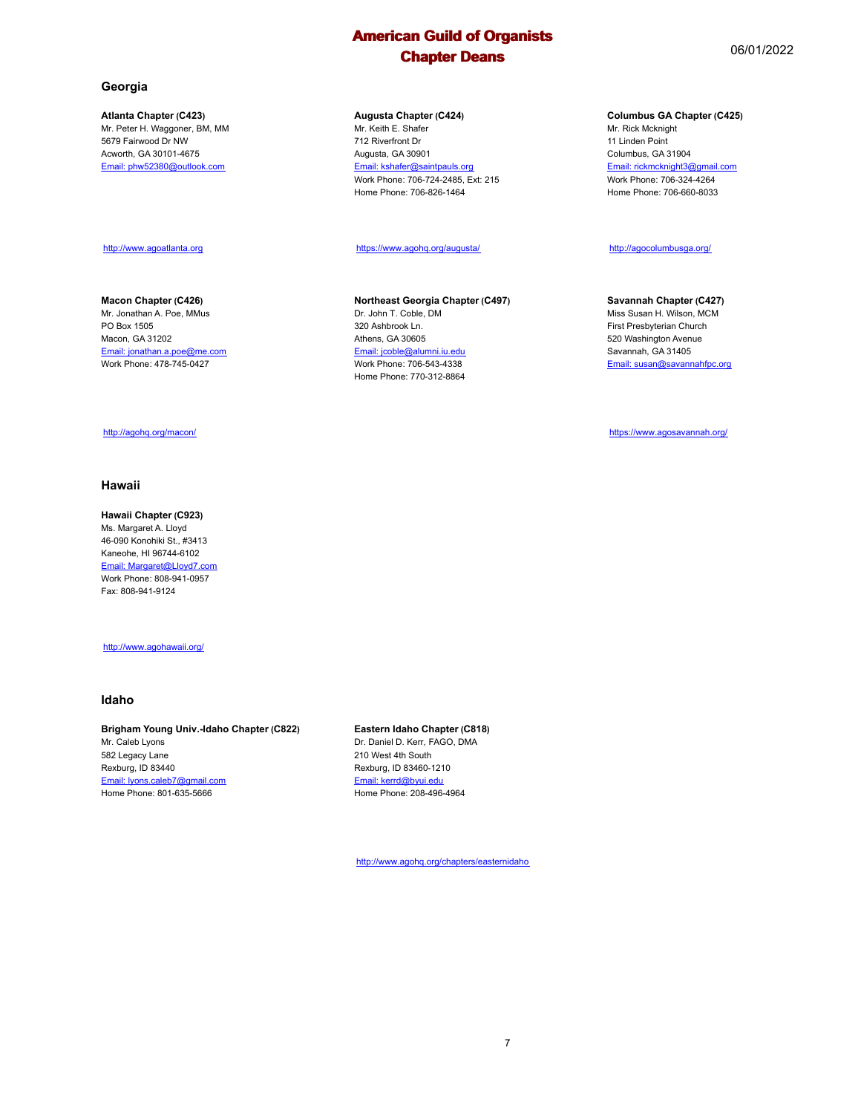**Augusta Chapter (C424)** Mr. Keith E. Shafer 712 Riverfront Dr Augusta, GA 30901 Email: kshafer@saintpauls.org Work Phone: 706-724-2485, Ext: 215 Home Phone: 706-826-1464

https://www.agohq.org/augusta/

Dr. John T. Coble, DM 320 Ashbrook Ln. Athens, GA 30605 Email: jcoble@alumni.iu.edu Work Phone: 706-543-4338 Home Phone: 770-312-8864

**Northeast Georgia Chapter (C497)**

**Atlanta Chapter (C423)** Mr. Peter H. Waggoner, BM, MM 5679 Fairwood Dr NW Acworth, GA 30101-4675 Email: phw52380@outlook.com

#### http://www.agoatlanta.org

#### **Macon Chapter (C426)**

Mr. Jonathan A. Poe, MMus PO Box 1505 Macon, GA 31202 Email: jonathan.a.poe@me.com Work Phone: 478-745-0427

#### http://agohq.org/macon/

#### **Hawaii**

**Hawaii Chapter (C923)** Ms. Margaret A. Lloyd 46-090 Konohiki St., #3413 Kaneohe, HI 96744-6102 Email: Margaret@Lloyd7.com Work Phone: 808-941-0957 Fax: 808-941-9124

http://www.agohawaii.org/

#### **Idaho**

#### **Brigham Young Univ.-Idaho Chapter (C822)**

Mr. Caleb Lyons 582 Legacy Lane Rexburg, ID 83440 Email: lyons.caleb7@gmail.com Home Phone: 801-635-5666

#### **Eastern Idaho Chapter (C818)**

Dr. Daniel D. Kerr, FAGO, DMA 210 West 4th South Rexburg, ID 83460-1210 Email: kerrd@byui.edu Home Phone: 208-496-4964

http://www.agohq.org/chapters/easternidaho

#### **Columbus GA Chapter (C425)**

Mr. Rick Mcknight 11 Linden Point Columbus, GA 31904 Email: rickmcknight3@gmail.com Work Phone: 706-324-4264 Home Phone: 706-660-8033

#### http://agocolumbusga.org/

#### **Savannah Chapter (C427)**

Miss Susan H. Wilson, MCM First Presbyterian Church 520 Washington Avenue Savannah, GA 31405 Email: susan@savannahfpc.org

https://www.agosavannah.org/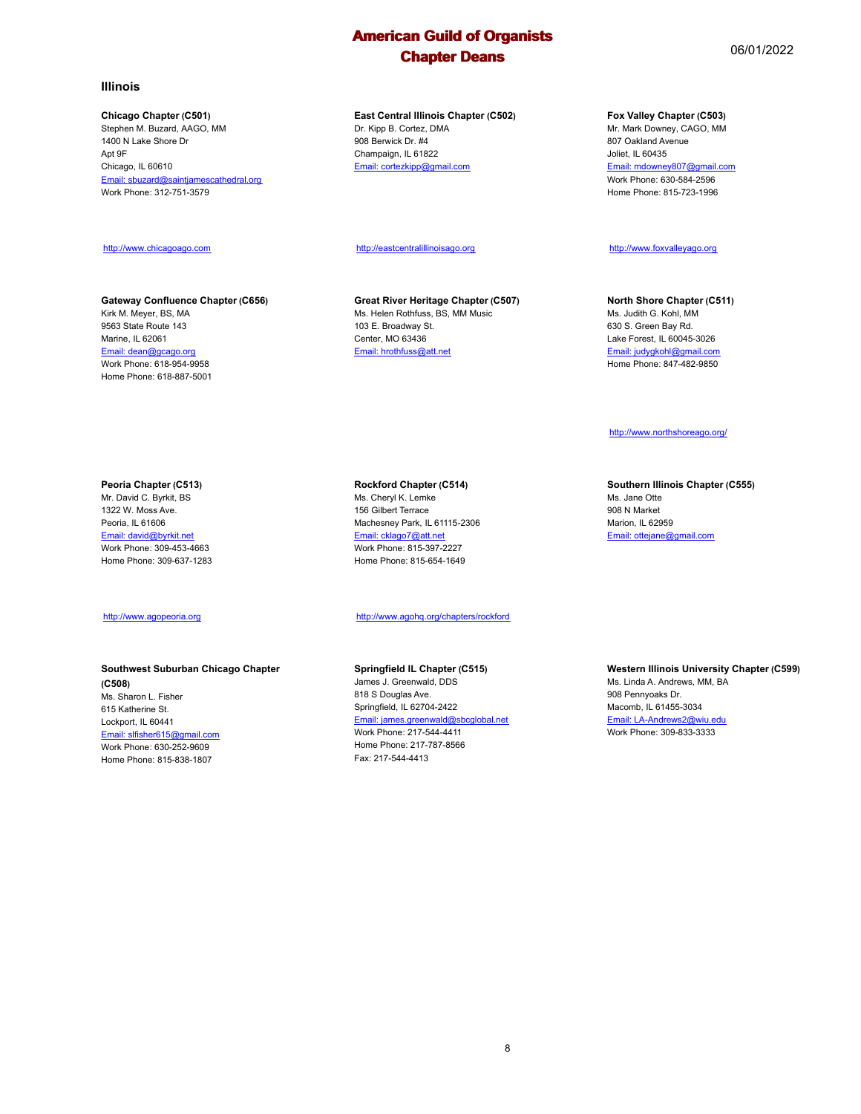**East Central Illinois Chapter (C502)** Dr. Kipp B. Cortez, DMA 908 Berwick Dr. #4 Champaign, IL 61822 Email: cortezkipp@gmail.com

http://eastcentralillinoisago.org

**Great River Heritage Chapter (C507)** Ms. Helen Rothfuss, BS, MM Music 103 E. Broadway St. Center, MO 63436 Email: hrothfuss@att.net

**Illinois**

Ant 9F Chicago, IL 60610

**Chicago Chapter (C501)** Stephen M. Buzard, AAGO, MM 1400 N Lake Shore Dr

Work Phone: 312-751-3579

http://www.chicagoago.com

Kirk M. Meyer, BS, MA 9563 State Route 143 Marine, IL 62061 Email: dean@gcago.org Work Phone: 618-954-9958 Home Phone: 618-887-5001

Email: sbuzard@saintjamescathedral.org

**Gateway Confluence Chapter (C656)**

#### **Peoria Chapter (C513)**

Mr. David C. Byrkit, BS 1322 W. Moss Ave. Peoria, IL 61606 Email: david@byrkit.net Work Phone: 309-453-4663 Home Phone: 309-637-1283

#### http://www.agopeoria.org

#### **Southwest Suburban Chicago Chapter (C508)**

Ms. Sharon L. Fisher 615 Katherine St. Lockport, IL 60441 Email: slfisher615@gmail.c Work Phone: 630-252-9609 Home Phone: 815-838-1807 **Rockford Chapter (C514)**

Ms. Cheryl K. Lemke 156 Gilbert Terrace Machesney Park, IL 61115-2306 Email: cklago7@att.net Work Phone: 815-397-2227 Home Phone: 815-654-1649

http://www.agohq.org/chapters/rockford

#### **Springfield IL Chapter (C515)**

James J. Greenwald, DDS 818 S Douglas Ave. Springfield, IL 62704-2422 Email: james.greenwald@sbcglobal.net Work Phone: 217-544-4411 Home Phone: 217-787-8566 Fax: 217-544-4413

**Western Illinois University Chapter (C599)**

Ms. Linda A. Andrews, MM, BA 908 Pennyoaks Dr. Macomb, IL 61455-3034 Email: LA-Andrews2@wiu.edu Work Phone: 309-833-3333

## **Fox Valley Chapter (C503)**

Mr. Mark Downey, CAGO, MM 807 Oakland Avenue Joliet, IL 60435 Email: mdowney807@gmail.com Work Phone: 630-584-2596 Home Phone: 815-723-1996

# http://www.foxvalleyago.org

**North Shore Chapter (C511)** Ms. Judith G. Kohl, MM 630 S. Green Bay Rd. Lake Forest, IL 60045-3026 Email: judygkohl@gmail.com Home Phone: 847-482-9850

http://www.northshoreago.org/

**Southern Illinois Chapter (C555)** Ms. Jane Otte 908 N Market Marion, IL 62959 Email: ottejane@gmail.com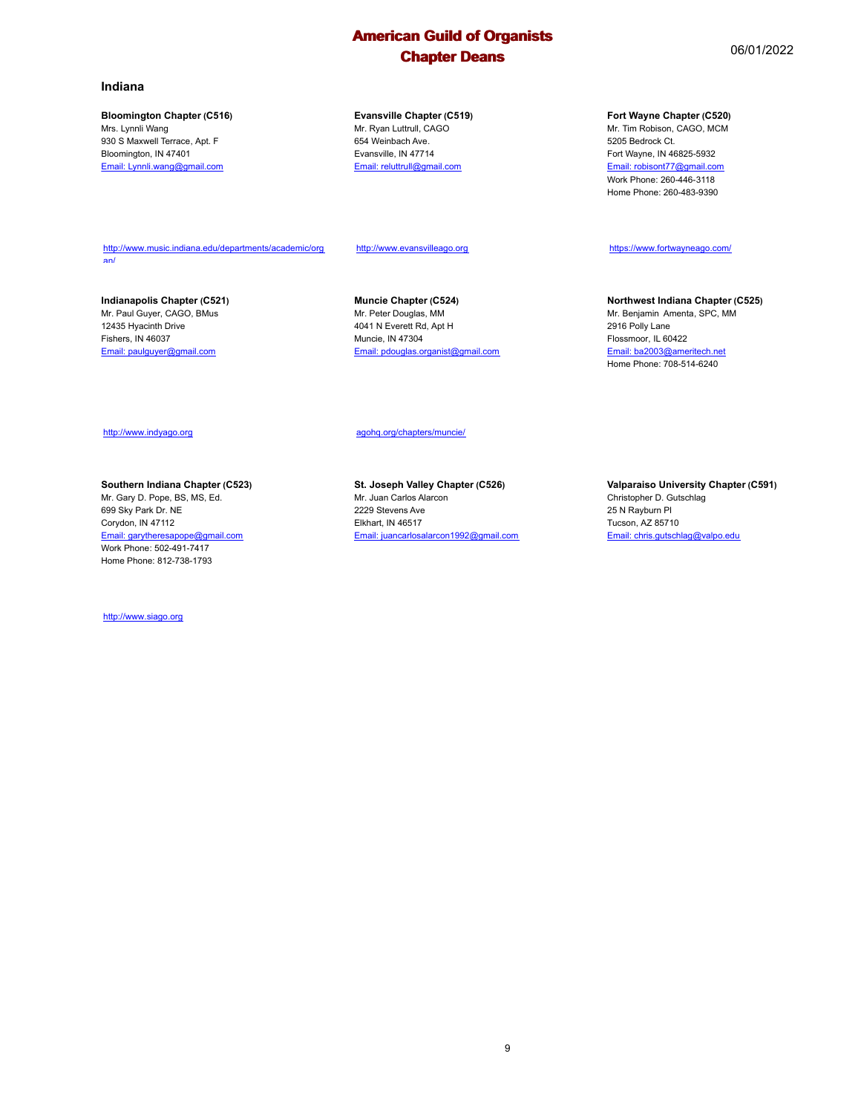#### **Bloomington Chapter (C516)**

Mrs. Lynnli Wang 930 S Maxwell Terrace, Apt. F Bloomington, IN 47401 Email: Lynnli.wang@gmail.com

#### **Evansville Chapter (C519)** Mr. Ryan Luttrull, CAGO

654 Weinbach Ave. Evansville, IN 47714 Email: reluttrull@gmail.com

#### **Fort Wayne Chapter (C520)**

Mr. Tim Robison, CAGO, MCM 5205 Bedrock Ct. Fort Wayne, IN 46825-5932 Email: robisont77@gmail.com Work Phone: 260-446-3118 Home Phone: 260-483-9390

https://www.fortwayneago.com/

2916 Polly Lane Flossmoor, IL 60422 Email: ba2003@ameritech.net Home Phone: 708-514-6240

**Northwest Indiana Chapter (C525)** Mr. Benjamin Amenta, SPC, MM

http://www.music.indiana.edu/departments/academic/org an/

http://www.evansvilleago.org

**Indianapolis Chapter (C521)** Mr. Paul Guyer, CAGO, BMus 12435 Hyacinth Drive Fishers, IN 46037 Email: paulguyer@gmail.com

**Muncie Chapter (C524)** Mr. Peter Douglas, MM 4041 N Everett Rd, Apt H Muncie, IN 47304 Email: pdouglas.organist@gmail.com

agohq.org/chapters/muncie/

http://www.indyago.org

## **Southern Indiana Chapter (C523)**

Mr. Gary D. Pope, BS, MS, Ed. 699 Sky Park Dr. NE Corydon, IN 47112 Email: garytheresapope@gmail.com Work Phone: 502-491-7417 Home Phone: 812-738-1793

http://www.siago.org

**St. Joseph Valley Chapter (C526)** Mr. Juan Carlos Alarcon 2229 Stevens Ave Elkhart, IN 46517 Email: juancarlosalarcon1992@gmail.com

**Valparaiso University Chapter (C591)** Christopher D. Gutschlag 25 N Rayburn Pl Tucson, AZ 85710 Email: chris.gutschlag@valpo.edu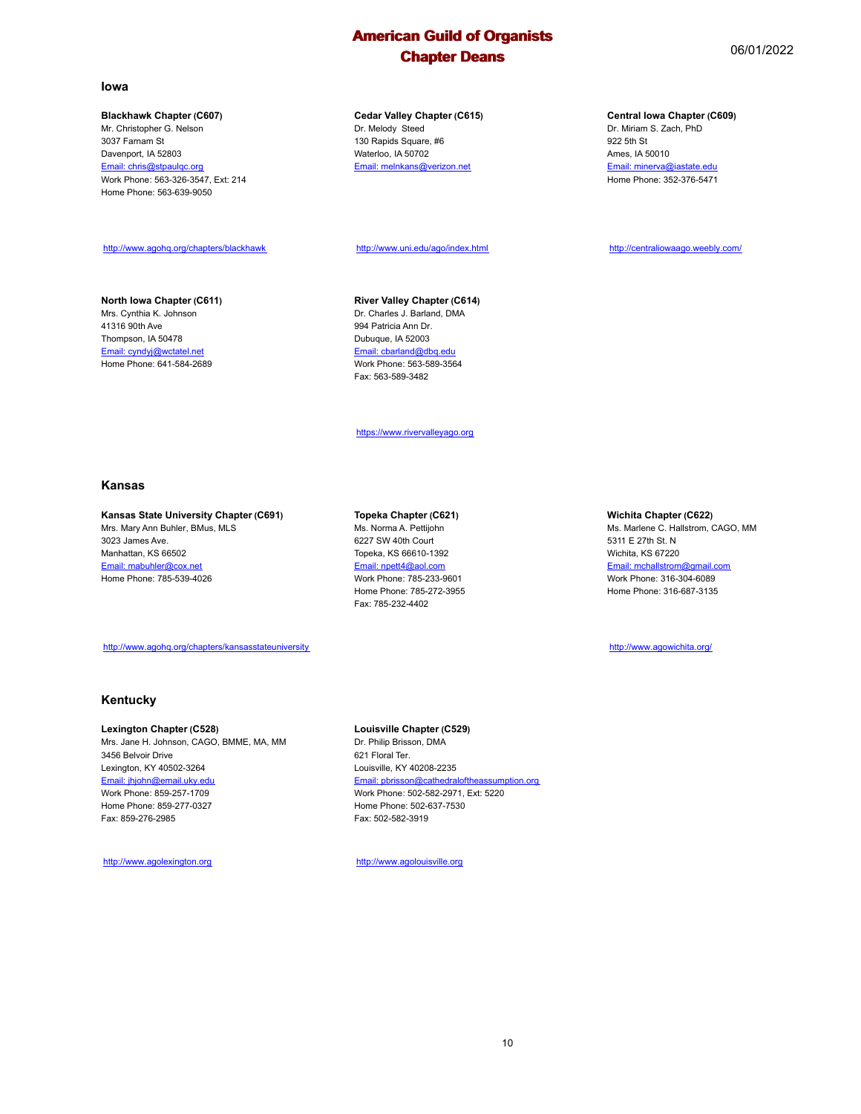#### **Iowa**

#### **Blackhawk Chapter (C607)**

Mr. Christopher G. Nelson 3037 Farnam St Davenport, IA 52803 Email: chris@stpaulqc.org Work Phone: 563-326-3547, Ext: 214 Home Phone: 563-639-9050

http://www.agohq.org/chapters/blackhawk

#### **North Iowa Chapter (C611)**

Mrs. Cynthia K. Johnson 41316 90th Ave Thompson, IA 50478 Email: cyndyj@wctatel.net Home Phone: 641-584-2689

#### **Cedar Valley Chapter (C615)** Dr. Melody Steed 130 Rapids Square, #6 Waterloo, IA 50702 Email: melnkans@verizon.net

http://www.uni.edu/ago/index.html

## **River Valley Chapter (C614)**

Dr. Charles J. Barland, DMA 994 Patricia Ann Dr. Dubuque, IA 52003 Email: cbarland@dbq.edu Work Phone: 563-589-3564 Fax: 563-589-3482

https://www.rivervalleyago.org

#### **Kansas**

#### **Kansas State University Chapter (C691)** Mrs. Mary Ann Buhler, BMus, MLS

3023 James Ave. Manhattan, KS 66502 Email: mabuhler@cox.net Home Phone: 785-539-4026

#### http://www.agohq.org/chapters/kansasstateuniversity

### **Kentucky**

#### **Lexington Chapter (C528)** Mrs. Jane H. Johnson, CAGO, BMME, MA, MM 3456 Belvoir Drive Lexington, KY 40502-3264 Email: jhjohn@email.uky.edu Work Phone: 859-257-1709 Home Phone: 859-277-0327 Fax: 859-276-2985

http://www.agolexington.org

#### **Topeka Chapter (C621)**

Ms. Norma A. Pettijohn 6227 SW 40th Court Topeka, KS 66610-1392 Email: npett4@aol.com Work Phone: 785-233-9601 Home Phone: 785-272-3955 Fax: 785-232-4402

#### **Wichita Chapter (C622)**

Ms. Marlene C. Hallstrom, CAGO, MM 5311 E 27th St. N Wichita, KS 67220 Email: mchallstrom@gmail.com Work Phone: 316-304-6089 Home Phone: 316-687-3135

http://www.agowichita.org/

Dr. Philip Brisson, DMA 621 Floral Ter. Louisville, KY 40208-2235 Email: pbrisson@cathedraloftheassumption.org Work Phone: 502-582-2971, Ext: 5220 Home Phone: 502-637-7530 Fax: 502-582-3919

http://www.agolouisville.org

**Louisville Chapter (C529)**

10

#### **Central Iowa Chapter (C609)**

Dr. Miriam S. Zach, PhD 922 5th St Ames, IA 50010 Email: minerva@iastate.edu Home Phone: 352-376-5471

http://centraliowaago.weebly.com/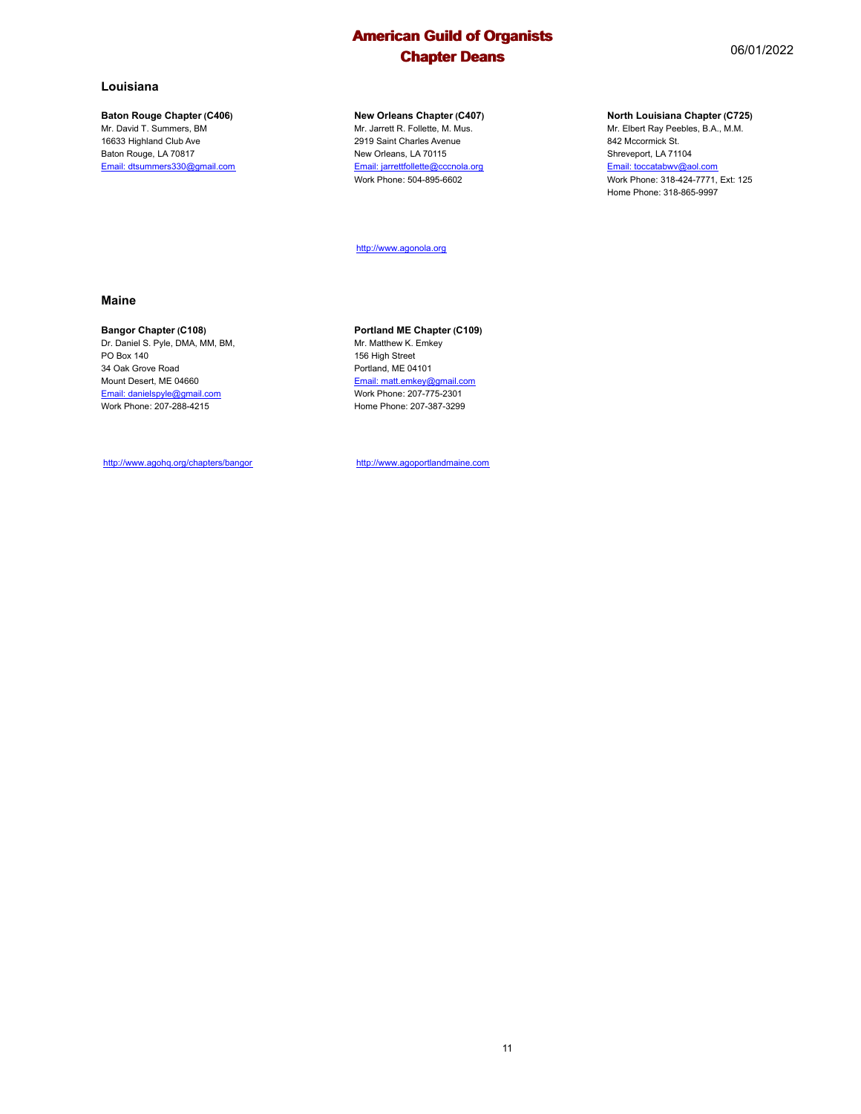#### **Baton Rouge Chapter (C406)**

Mr. David T. Summers, BM 16633 Highland Club Ave Baton Rouge, LA 70817 Email: dtsummers330@gmail.com

### **New Orleans Chapter (C407)**

Mr. Jarrett R. Follette, M. Mus. 2919 Saint Charles Avenue New Orleans, LA 70115 Email: jarrettfollette@cccnola.org Work Phone: 504-895-6602

http://www.agonola.org

#### **Maine**

#### **Bangor Chapter (C108)**

Dr. Daniel S. Pyle, DMA, MM, BM, PO Box 140 34 Oak Grove Road Mount Desert, ME 04660 Email: danielspyle@gmail.com Work Phone: 207-288-4215

http://www.agohq.org/chapters/bangor

#### **Portland ME Chapter (C109)** Mr. Matthew K. Emkey

156 High Street Portland, ME 04101 Email: matt.emkey@gmail.com Work Phone: 207-775-2301 Home Phone: 207-387-3299

http://www.agoportlandmaine.com

## **North Louisiana Chapter (C725)**

Mr. Elbert Ray Peebles, B.A., M.M. 842 Mccormick St. Shreveport, LA 71104 Email: toccatabwv@aol.com Work Phone: 318-424-7771, Ext: 125 Home Phone: 318-865-9997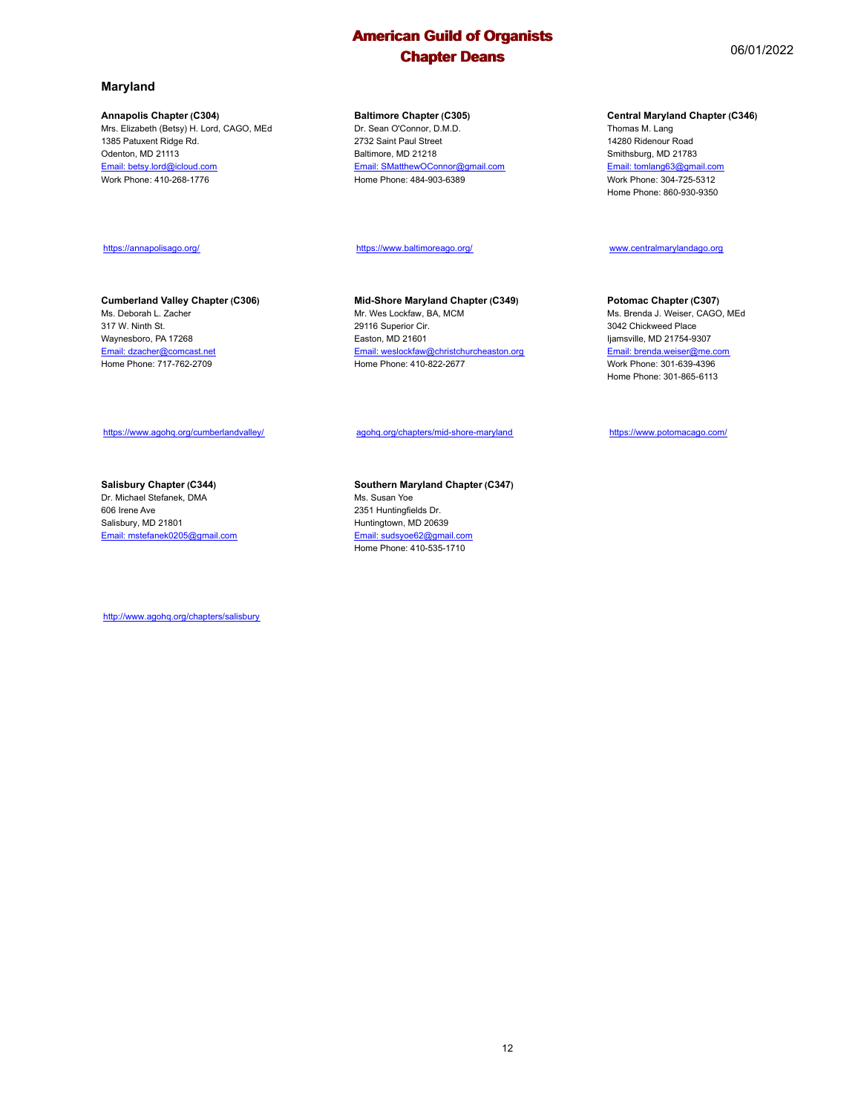#### **Maryland**

#### **Annapolis Chapter (C304)**

https://annapolisago.org/

Ms. Deborah L. Zacher 317 W. Ninth St. Waynesboro, PA 17268 Email: dzacher@comcast.net Home Phone: 717-762-2709

Mrs. Elizabeth (Betsy) H. Lord, CAGO, MEd 1385 Patuxent Ridge Rd. Odenton, MD 21113 Email: betsy.lord@icloud.com Work Phone: 410-268-1776

## **Baltimore Chapter (C305)**

Dr. Sean O'Connor, D.M.D. 2732 Saint Paul Street Baltimore, MD 21218 Email: SMatthewOConnor@gmail.com Home Phone: 484-903-6389

https://www.baltimoreago.org/

**Mid-Shore Maryland Chapter (C349)** Mr. Wes Lockfaw, BA, MCM 29116 Superior Cir. Easton, MD 21601 Email: weslockfaw@christchurcheaston.org Home Phone: 410-822-2677

agohq.org/chapters/mid-shore-maryland

https://www.potomacago.com/

https://www.agohq.org/cumberlandvalley/

**Cumberland Valley Chapter (C306)**

## **Salisbury Chapter (C344)**

Dr. Michael Stefanek, DMA 606 Irene Ave Salisbury, MD 21801 Email: mstefanek0205@gmail.com

**Southern Maryland Chapter (C347)** Ms. Susan Yoe 2351 Huntingfields Dr. Huntingtown, MD 20639 Email: sudsyoe62@gmail.com Home Phone: 410-535-1710

http://www.agohq.org/chapters/salisbury

#### Thomas M. Lang 14280 Ridenour Road

**Central Maryland Chapter (C346)**

Smithsburg, MD 21783 Email: tomlang63@gmail.com Work Phone: 304-725-5312 Home Phone: 860-930-9350

## www.centralmarylandago.org

## **Potomac Chapter (C307)**

Ms. Brenda J. Weiser, CAGO, MEd 3042 Chickweed Place Ijamsville, MD 21754-9307 .<br>**Email: brenda.weiser@me.com** Work Phone: 301-639-4396 Home Phone: 301-865-6113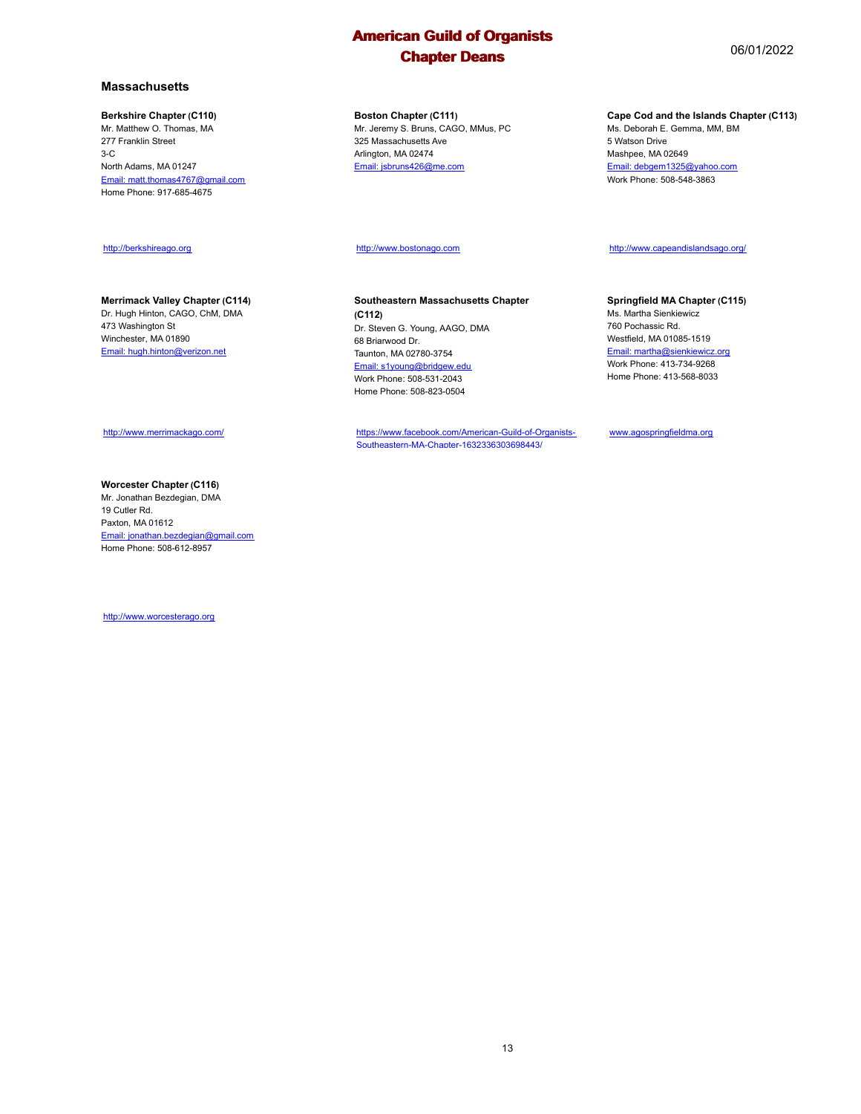**Boston Chapter (C111)** Mr. Jeremy S. Bruns, CAGO, MMus, PC 325 Massachusetts Ave Arlington, MA 02474 Email: jsbruns426@me.com

http://www.bostonago.com

#### **Southeastern Massachusetts Chapter (C112)** Dr. Steven G. Young, AAGO, DMA 68 Briarwood Dr. Taunton, MA 02780-3754

Email: s1young@bridgew.edu Work Phone: 508-531-2043 Home Phone: 508-823-0504

https://www.facebook.com/American-Guild-of-Organists-Southeastern-MA-Chapter-1632336303698443/

#### **Cape Cod and the Islands Chapter (C113)**

Ms. Deborah E. Gemma, MM, BM 5 Watson Drive Mashpee, MA 02649 Email: debgem1325@yahoo.com Work Phone: 508-548-3863

http://www.capeandislandsago.org/

#### **Springfield MA Chapter (C115)**

Ms. Martha Sienkiewicz 760 Pochassic Rd. Westfield, MA 01085-1519 Email: martha@sienkiewicz.org Work Phone: 413-734-9268 Home Phone: 413-568-8033

www.agospringfieldma.org

**Massachusetts**

## **Berkshire Chapter (C110)**

Mr. Matthew O. Thomas, MA 277 Franklin Street 3-C North Adams, MA 01247 Email: matt.thomas4767@gmail.com Home Phone: 917-685-4675

#### http://berkshireago.org

#### **Merrimack Valley Chapter (C114)**

Dr. Hugh Hinton, CAGO, ChM, DMA 473 Washington St Winchester, MA 01890 Email: hugh.hinton@verizon.net

#### http://www.merrimackago.com/

#### **Worcester Chapter (C116)**

Mr. Jonathan Bezdegian, DMA 19 Cutler Rd. Paxton, MA 01612 Email: jonathan.bezdegian@gmail.com Home Phone: 508-612-8957

http://www.worcesterago.org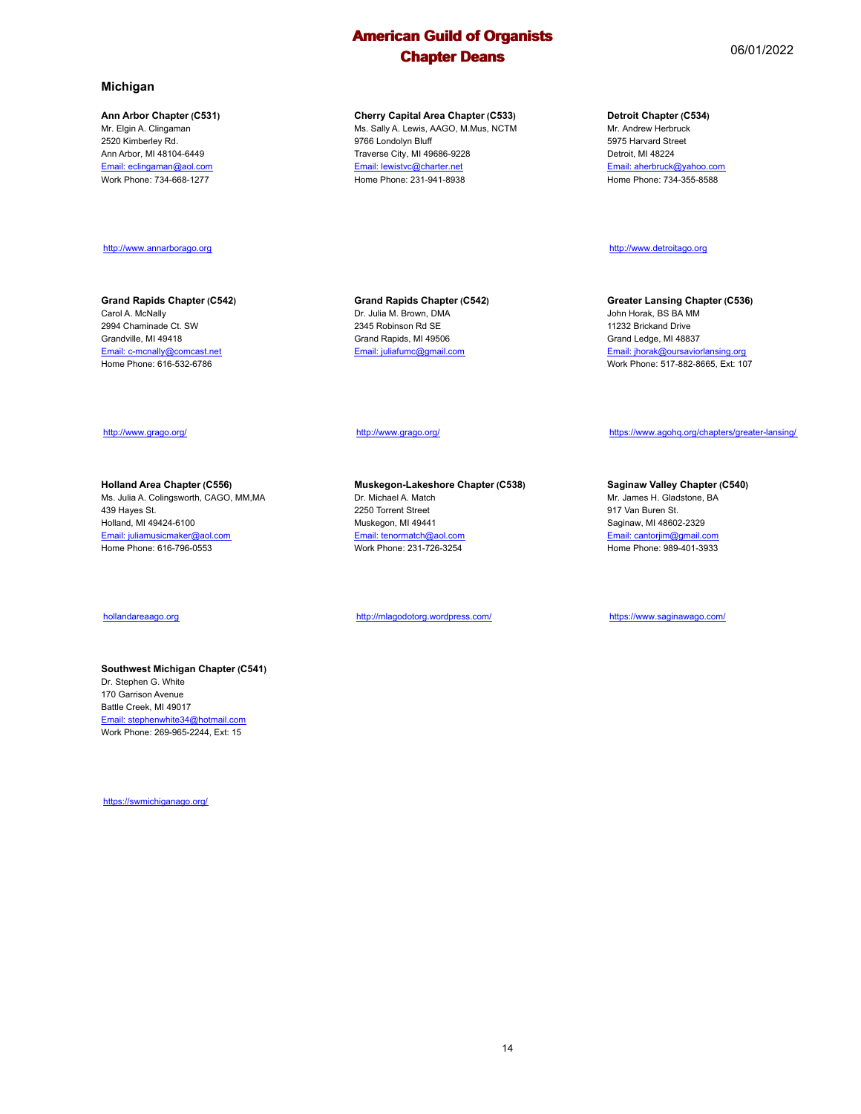**Cherry Capital Area Chapter (C533)** Ms. Sally A. Lewis, AAGO, M.Mus, NCTM

9766 Londolyn Bluff Traverse City, MI 49686-9228 Email: lewistvc@charter.net Home Phone: 231-941-8938

**Michigan**

#### **Ann Arbor Chapter (C531)**

Mr. Elgin A. Clingaman 2520 Kimberley Rd. Ann Arbor, MI 48104-6449 Email: eclingaman@aol.com Work Phone: 734-668-1277

#### http://www.annarborago.org

#### **Grand Rapids Chapter (C542)** Carol A. McNally 2994 Chaminade Ct. SW Grandville, MI 49418 Email: c-mcnally@comcast.net Home Phone: 616-532-6786

#### **Grand Rapids Chapter (C542)** Dr. Julia M. Brown, DMA 2345 Robinson Rd SE Grand Rapids, MI 49506 Email: juliafumc@gmail.com

#### http://www.grago.org/

**Muskegon-Lakeshore Chapter (C538)** Dr. Michael A. Match 2250 Torrent Street Muskegon, MI 49441 Email: tenormatch@aol.com Work Phone: 231-726-3254

http://mlagodotorg.wordpress.com/

**Detroit Chapter (C534)**

Mr. Andrew Herbruck 5975 Harvard Street Detroit, MI 48224 Email: aherbruck@yahoo.com Home Phone: 734-355-8588

http://www.detroitago.org

**Greater Lansing Chapter (C536)** John Horak, BS BA MM 11232 Brickand Drive Grand Ledge, MI 48837 Email: jhorak@oursaviorlansing.org Work Phone: 517-882-8665, Ext: 107

## http://www.grago.org/

**Holland Area Chapter (C556)** Ms. Julia A. Colingsworth, CAGO, MM,MA 439 Hayes St. Holland, MI 49424-6100 Email: juliamusicmaker@aol.com Home Phone: 616-796-0553

#### hollandareaago.org

## **Southwest Michigan Chapter (C541)**

Dr. Stephen G. White 170 Garrison Avenue Battle Creek, MI 49017 Email: stephenwhite34@hotmail.com Work Phone: 269-965-2244, Ext: 15

https://swmichiganago.org/



# https://www.agohq.org/chapters/greater-lansing/

#### **Saginaw Valley Chapter (C540)**

Mr. James H. Gladstone, BA 917 Van Buren St. Saginaw, MI 48602-2329 Email: cantorjim@gmail.com Home Phone: 989-401-3933

https://www.saginawago.com/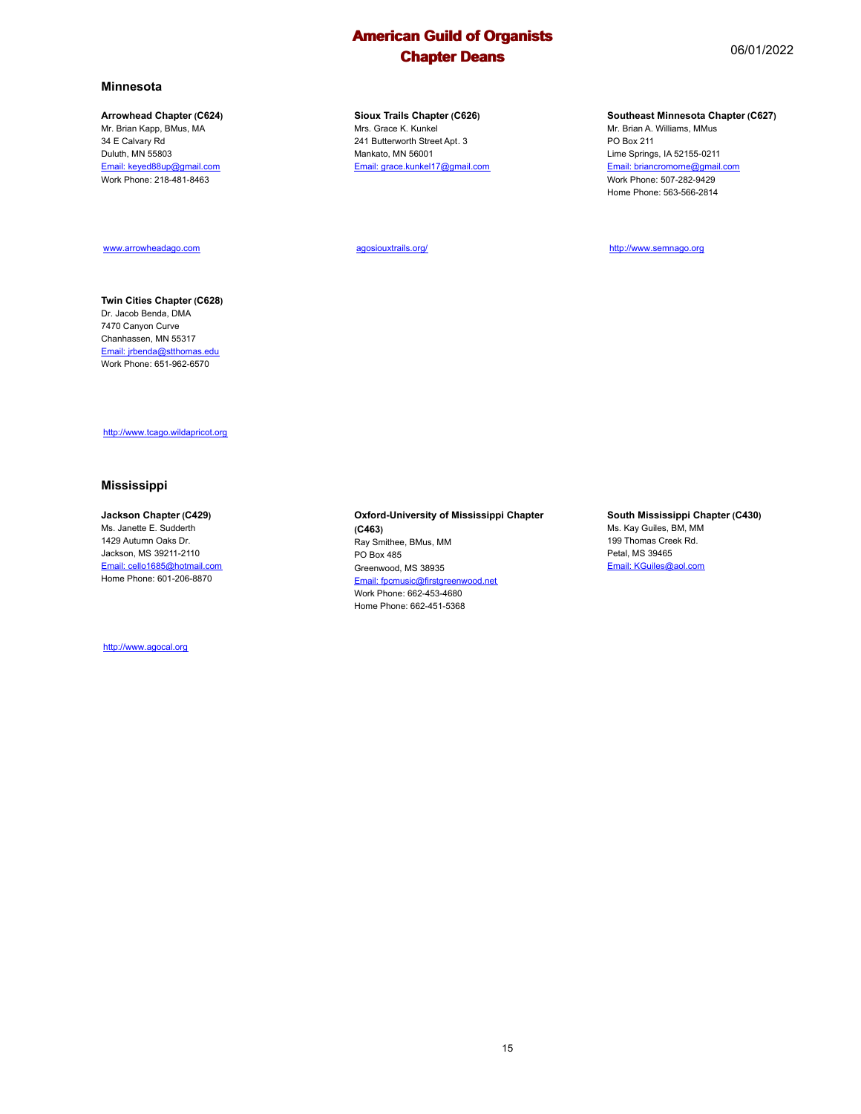#### **Minnesota**

#### **Arrowhead Chapter (C624)**

Mr. Brian Kapp, BMus, MA 34 E Calvary Rd Duluth, MN 55803 Email: keyed88up@gmail.com Work Phone: 218-481-8463

#### www.arrowheadago.com

#### **Twin Cities Chapter (C628)** Dr. Jacob Benda, DMA 7470 Canyon Curve Chanhassen, MN 55317 Email: jrbenda@stthomas.edu Work Phone: 651-962-6570

**Sioux Trails Chapter (C626)** Mrs. Grace K. Kunkel 241 Butterworth Street Apt. 3 Mankato, MN 56001 Email: grace.kunkel17@gmail.com

agosiouxtrails.org/

#### **Southeast Minnesota Chapter (C627)**

Mr. Brian A. Williams, MMus PO Box 211 Lime Springs, IA 52155-0211 Email: briancromorne@gmail.com Work Phone: 507-282-9429 Home Phone: 563-566-2814

http://www.semnago.org

http://www.tcago.wildapricot.org

#### **Mississippi**

#### **Jackson Chapter (C429)**

Ms. Janette E. Sudderth 1429 Autumn Oaks Dr. Jackson, MS 39211-2110 Email: cello1685@hotmail.com Home Phone: 601-206-8870

http://www.agocal.org

#### **Oxford-University of Mississippi Chapter (C463)** Ray Smithee, BMus, MM PO Box 485 Greenwood, MS 38935 Email: fpcmusic@firstgreenwood.net Work Phone: 662-453-4680 Home Phone: 662-451-5368

**South Mississippi Chapter (C430)** Ms. Kay Guiles, BM, MM 199 Thomas Creek Rd. Petal, MS 39465

Email: KGuiles@aol.com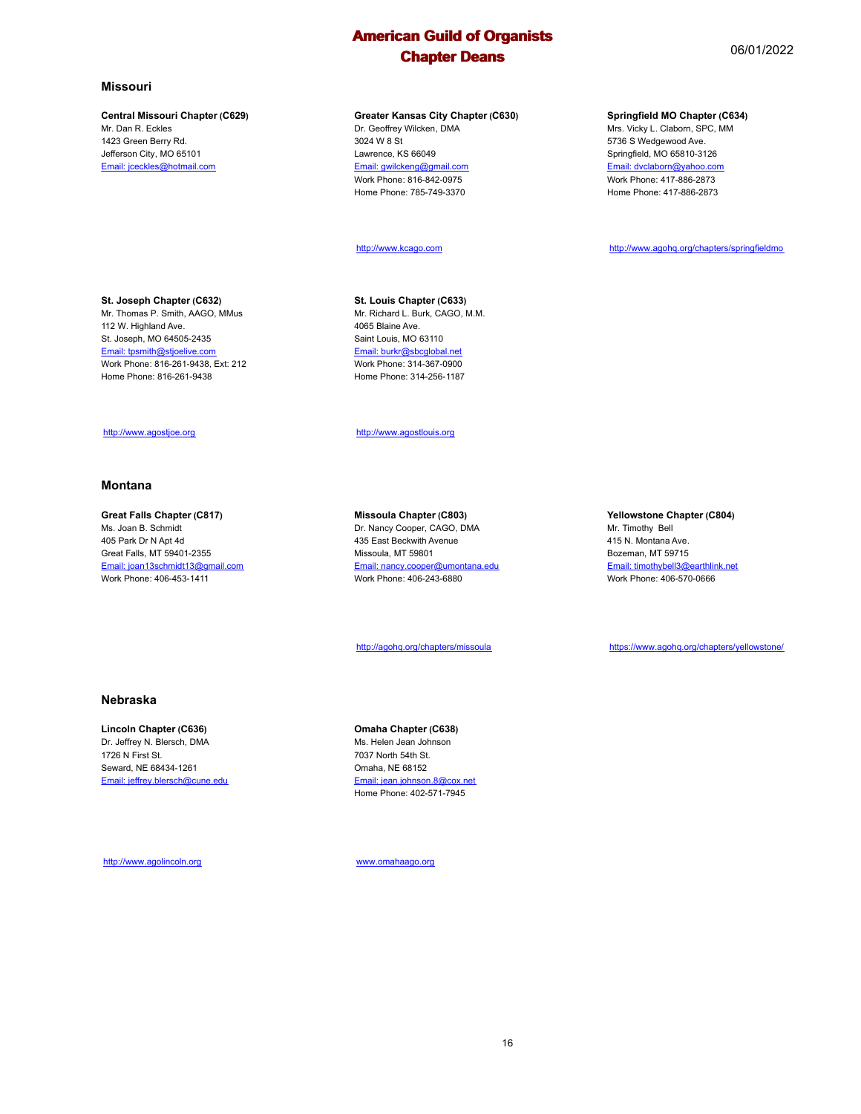#### **Central Missouri Chapter (C629)**

Mr. Dan R. Eckles 1423 Green Berry Rd. Jefferson City, MO 65101 Email: jceckles@hotmail.com

**St. Joseph Chapter (C632)** Mr. Thomas P. Smith, AAGO, MMus

112 W. Highland Ave. St. Joseph, MO 64505-2435 Email: tpsmith@stjoelive.com Work Phone: 816-261-9438, Ext: 212 Home Phone: 816-261-9438

http://www.agostjoe.org

**Great Falls Chapter (C817)** Ms. Joan B. Schmidt 405 Park Dr N Apt 4d Great Falls, MT 59401-2355 Email: joan13schmidt13@gmail.com Work Phone: 406-453-1411

**Montana**

Dr. Geoffrey Wilcken, DMA 3024 W 8 St Lawrence, KS 66049 Email: gwilckeng@gmail.com Work Phone: 816-842-0975 Home Phone: 785-749-3370

#### http://www.kcago.com

**St. Louis Chapter (C633)** Mr. Richard L. Burk, CAGO, M.M. 4065 Blaine Ave. Saint Louis, MO 63110 Email: burkr@sbcglobal.net Work Phone: 314-367-0900 Home Phone: 314-256-1187

http://www.agostlouis.org

**Missoula Chapter (C803)** Dr. Nancy Cooper, CAGO, DMA 435 East Beckwith Avenue Missoula, MT 59801 Email: nancy.cooper@umontana.edu Work Phone: 406-243-6880

http://agohq.org/chapters/missoula

#### **Yellowstone Chapter (C804)** Mr. Timothy Bell

415 N. Montana Ave. Bozeman, MT 59715 Email: timothybell3@earthlink.net Work Phone: 406-570-0666

https://www.agohq.org/chapters/yellowstone/

#### **Nebraska**

# **Lincoln Chapter (C636)**

Dr. Jeffrey N. Blersch, DMA 1726 N First St. Seward, NE 68434-1261 Email: jeffrey.blersch@cune.edu **Omaha Chapter (C638)**

Ms. Helen Jean Johnson 7037 North 54th St. Omaha, NE 68152 Email: jean.johnson.8@cox.net Home Phone: 402-571-7945

http://www.agolincoln.org

www.omahaago.org

**Springfield MO Chapter (C634)**

Mrs. Vicky L. Claborn, SPC, MM 5736 S Wedgewood Ave. Springfield, MO 65810-3126 Email: dvclaborn@yahoo.com Work Phone: 417-886-2873 Home Phone: 417-886-2873

http://www.agohq.org/chapters/springfieldmo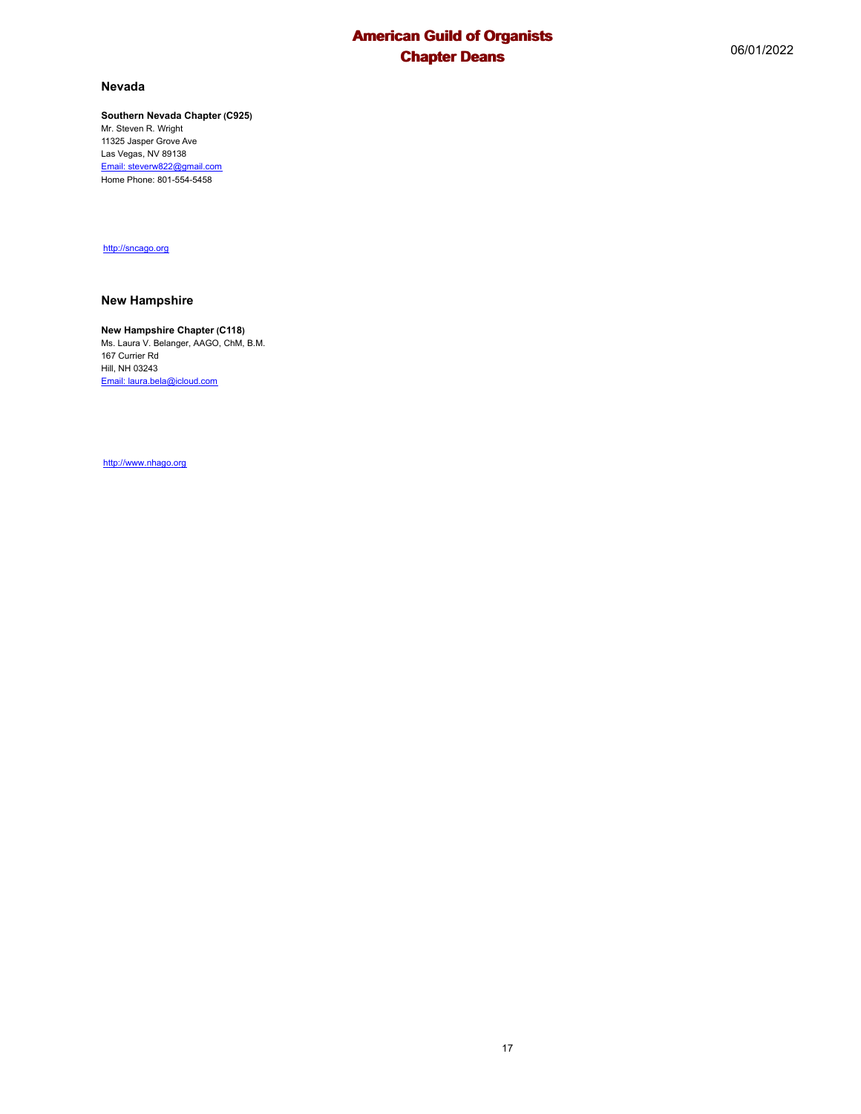#### **Nevada**

## **Southern Nevada Chapter (C925)**

Mr. Steven R. Wright 11325 Jasper Grove Ave Las Vegas, NV 89138 Email: steverw822@gmail.com Home Phone: 801-554-5458

http://sncago.org

#### **New Hampshire**

#### **New Hampshire Chapter (C118)**

Ms. Laura V. Belanger, AAGO, ChM, B.M. 167 Currier Rd Hill, NH 03243 Email: laura.bela@icloud.com

http://www.nhago.org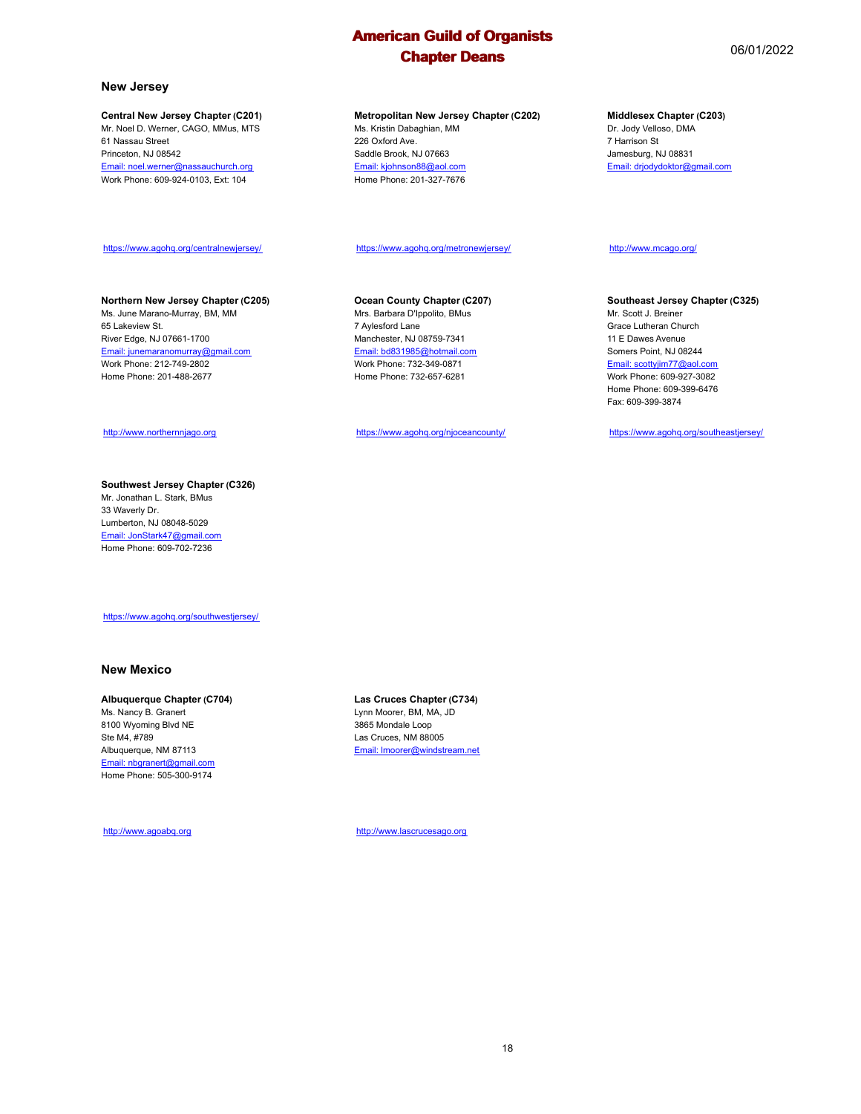#### **New Jersey**

65 Lakeview St.

#### **Central New Jersey Chapter (C201)**

Mr. Noel D. Werner, CAGO, MMus, MTS 61 Nassau Street Princeton, NJ 08542 Email: noel.werner@nassauchurch.org Work Phone: 609-924-0103, Ext: 104

#### **Metropolitan New Jersey Chapter (C202)** Ms. Kristin Dabaghian, MM 226 Oxford Ave.

Saddle Brook, NJ 07663 Email: kjohnson88@aol.com Home Phone: 201-327-7676

### **Middlesex Chapter (C203)**

Dr. Jody Velloso, DMA 7 Harrison St Jamesburg, NJ 08831 Email: drjodydoktor@gmail.com

#### https://www.agohq.org/centralnewjersey/

**Northern New Jersey Chapter (C205)** Ms. June Marano-Murray, BM, MM

#### https://www.agohq.org/metronewjersey/

#### **Ocean County Chapter (C207)**

Mrs. Barbara D'Ippolito, BMus 7 Aylesford Lane Manchester, NJ 08759-7341 Email: bd831985@hotmail.com Work Phone: 732-349-0871 Home Phone: 732-657-6281

https://www.agohq.org/njoceancounty/

### http://www.mcago.org/

#### **Southeast Jersey Chapter (C325)**

Mr. Scott J. Breiner Grace Lutheran Church 11 E Dawes Avenue Somers Point, NJ 08244 Email: scottyjim77@aol.com Work Phone: 609-927-3082 Home Phone: 609-399-6476 Fax: 609-399-3874

https://www.agohq.org/southeastjersey/

http://www.northernnjago.org

River Edge, NJ 07661-1700 Email: junemaranomurray@gmail.com Work Phone: 212-749-2802 Home Phone: 201-488-2677

#### **Southwest Jersey Chapter (C326)** Mr. Jonathan L. Stark, BMus 33 Waverly Dr.

Lumberton, NJ 08048-5029 Email: JonStark47@gmail.com Home Phone: 609-702-7236

https://www.agohq.org/southwestjersey/

#### **New Mexico**

#### **Albuquerque Chapter (C704)**

Ms. Nancy B. Granert 8100 Wyoming Blvd NE Ste M4, #789 Albuquerque, NM 87113 Email: nbgranert@gmail.com Home Phone: 505-300-9174

http://www.agoabq.org

**Las Cruces Chapter (C734)** Lynn Moorer, BM, MA, JD 3865 Mondale Loop Las Cruces, NM 88005 Email: lmoorer@windstream.net

http://www.lascrucesago.org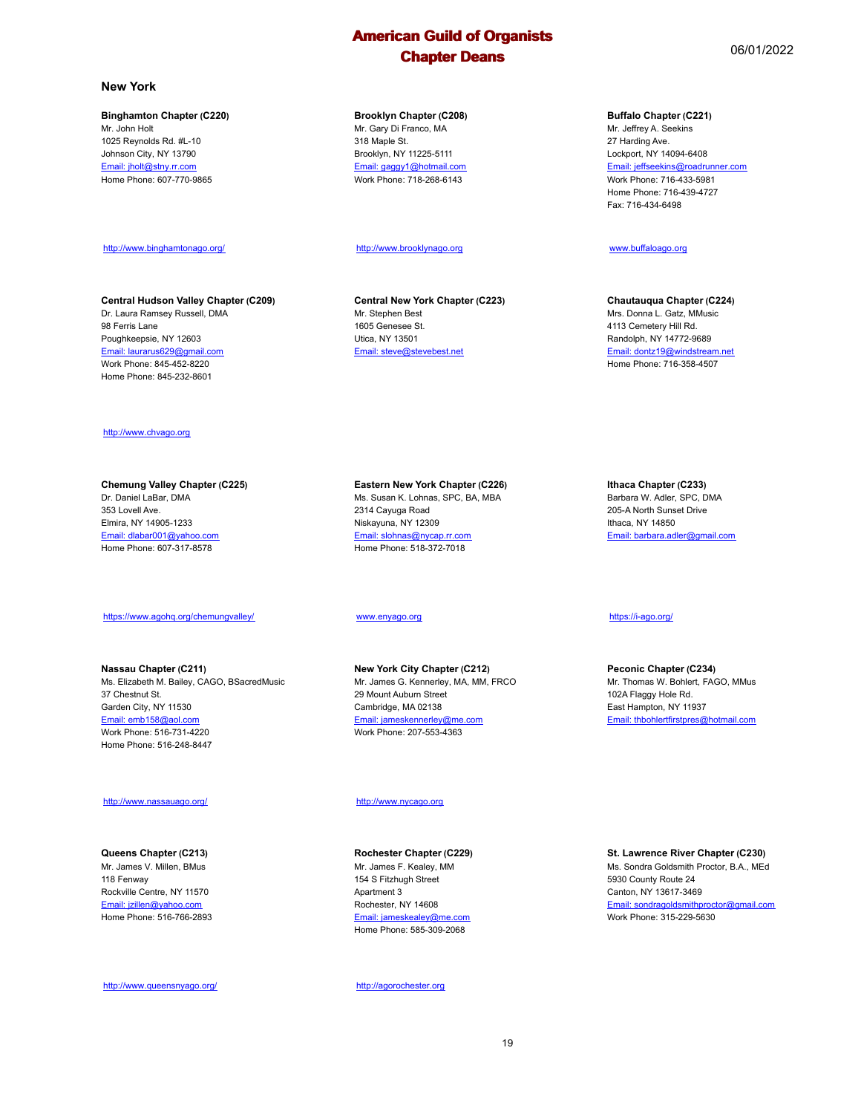#### **New York**

#### **Binghamton Chapter (C220)**

Mr. John Holt 1025 Reynolds Rd. #L-10 Johnson City, NY 13790 Email: jholt@stny.rr.com Home Phone: 607-770-9865

http://www.binghamtonago.org/

**Central Hudson Valley Chapter (C209)** Dr. Laura Ramsey Russell, DMA

#### **Brooklyn Chapter (C208)**

Mr. Gary Di Franco, MA 318 Maple St. Brooklyn, NY 11225-5111 Email: gaggy1@hotmail.com Work Phone: 718-268-6143

#### http://www.brooklynago.org

**Central New York Chapter (C223)** Email: steve@stevebest.net

**Chautauqua Chapter (C224)** Mrs. Donna L. Gatz, MMusic

4113 Cemetery Hill Rd. Randolph, NY 14772-9689 Email: dontz19@windstream.net Home Phone: 716-358-4507

#### http://www.chvago.org

98 Ferris Lane Poughkeepsie, NY 12603 Email: laurarus629@gmail.com Work Phone: 845-452-8220 Home Phone: 845-232-8601

#### **Chemung Valley Chapter (C225)** Dr. Daniel LaBar, DMA 353 Lovell Ave. Elmira, NY 14905-1233

Email: dlabar001@yahoo.com Home Phone: 607-317-8578

#### https://www.agohq.org/chemungvalley/

**Nassau Chapter (C211)** Ms. Elizabeth M. Bailey, CAGO, BSacredMusic 37 Chestnut St. Garden City, NY 11530 Email: emb158@aol.com Work Phone: 516-731-4220 Home Phone: 516-248-8447

#### http://www.nassauago.org/

#### **Queens Chapter (C213)** Mr. James V. Millen, BMus 118 Fenway Rockville Centre, NY 11570 Email: jzillen@yahoo.com Home Phone: 516-766-2893

http://www.queensnyago.org/

#### Ms. Susan K. Lohnas, SPC, BA, MBA 2314 Cayuga Road Niskayuna, NY 12309 Email: slohnas@nycap.rr.com Home Phone: 518-372-7018

#### www.enyago.org

**New York City Chapter (C212)** Mr. James G. Kennerley, MA, MM, FRCO 29 Mount Auburn Street Cambridge, MA 02138 Email: jameskennerley@me.com Work Phone: 207-553-4363

#### http://www.nycago.org

#### **Rochester Chapter (C229)** Mr. James F. Kealey, MM 154 S Fitzhugh Street Apartment 3 Rochester, NY 14608

Email: jameskealey@me.com Home Phone: 585-309-2068

http://agorochester.org

https://i-ago.org/

**Ithaca Chapter (C233)** Barbara W. Adler, SPC, DMA 205-A North Sunset Drive Ithaca, NY 14850

Email: barbara.adler@gmail.com

#### **Peconic Chapter (C234)** Mr. Thomas W. Bohlert, FAGO, MMus 102A Flaggy Hole Rd. East Hampton, NY 11937 Email: thbohlertfirstpres@hotmail.com

**St. Lawrence River Chapter (C230)** Ms. Sondra Goldsmith Proctor, B.A., MEd 5930 County Route 24 Canton, NY 13617-3469 Email: sondragoldsmithproctor@gmail.com Work Phone: 315-229-5630

### **Buffalo Chapter (C221)**

Mr. Jeffrey A. Seekins 27 Harding Ave. Lockport, NY 14094-6408 Email: jeffseekins@roadrunner.com Work Phone: 716-433-5981 Home Phone: 716-439-4727 Fax: 716-434-6498

#### www.buffaloago.org

Mr. Stephen Best 1605 Genesee St. Utica, NY 13501

**Eastern New York Chapter (C226)**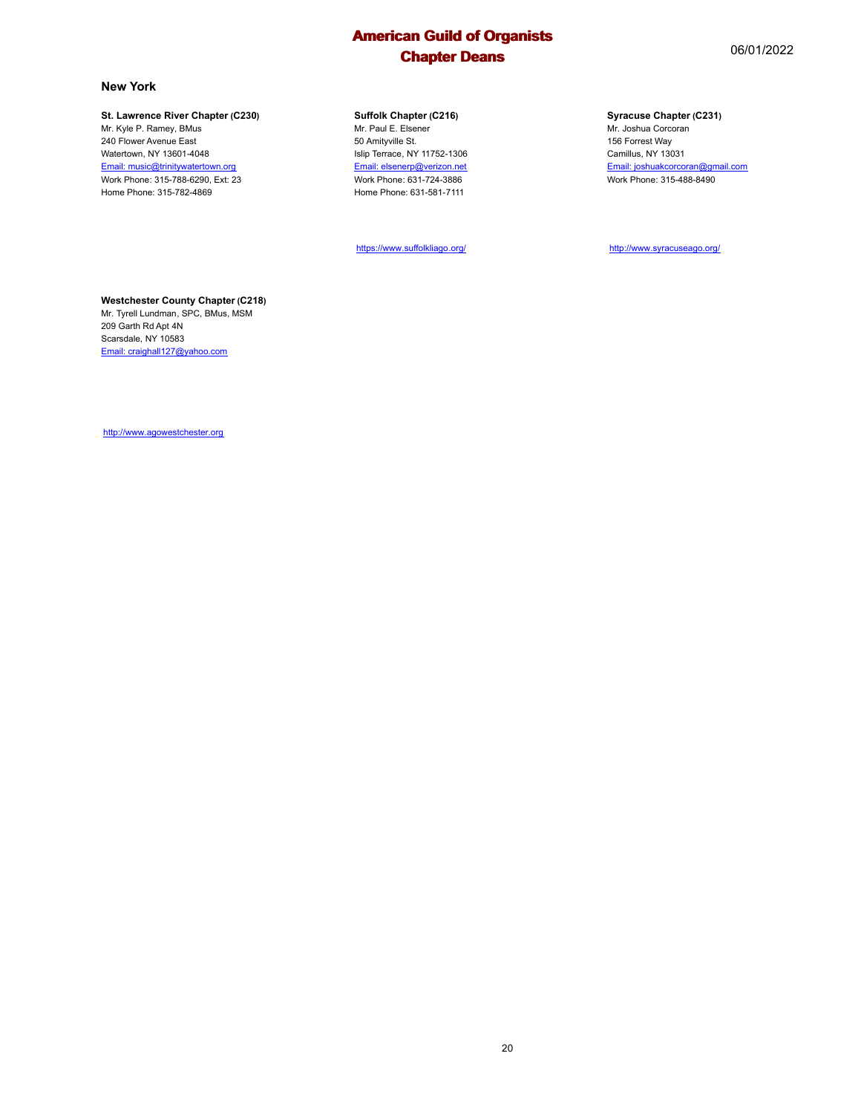### **New York**

#### **St. Lawrence River Chapter (C230)**

Mr. Kyle P. Ramey, BMus 240 Flower Avenue East Watertown, NY 13601-4048 Email: music@trinitywatertown.org Work Phone: 315-788-6290, Ext: 23 Home Phone: 315-782-4869

#### **Suffolk Chapter (C216)**

Mr. Paul E. Elsener 50 Amityville St. Islip Terrace, NY 11752-1306 Email: elsenerp@verizon.net Work Phone: 631-724-3886 Home Phone: 631-581-7111

https://www.suffolkliago.org/

#### **Syracuse Chapter (C231)**

Mr. Joshua Corcoran 156 Forrest Way Camillus, NY 13031 Email: joshuakcorcoran@gmail.com Work Phone: 315-488-8490

http://www.syracuseago.org/

#### **Westchester County Chapter (C218)**

Mr. Tyrell Lundman, SPC, BMus, MSM 209 Garth Rd Apt 4N Scarsdale, NY 10583 Email: craighall127@yahoo.com

http://www.agowestchester.org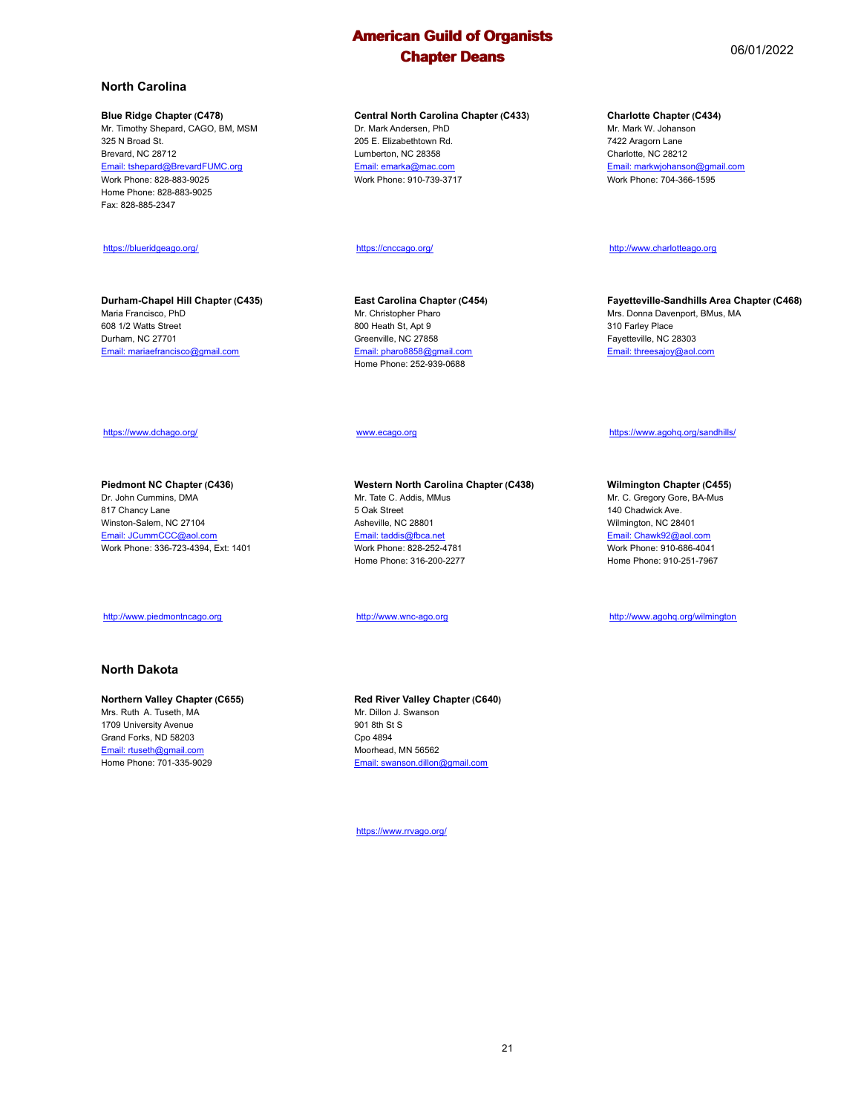**Central North Carolina Chapter (C433)** Dr. Mark Andersen, PhD 205 E. Elizabethtown Rd. Lumberton, NC 28358 Email: emarka@mac.com Work Phone: 910-739-3717

#### https://cnccago.org/

**East Carolina Chapter (C454)** Mr. Christopher Pharo 800 Heath St, Apt 9 Greenville, NC 27858 Email: pharo8858@gmail.com Home Phone: 252-939-0688

#### www.ecago.org

**Western North Carolina Chapter (C438)** Mr. Tate C. Addis, MMus 5 Oak Street Asheville, NC 28801 Email: taddis@fbca.net Work Phone: 828-252-4781 Home Phone: 316-200-2277

http://www.wnc-ago.org

**Red River Valley Chapter (C640)** Mr. Dillon J. Swanson 901 8th St S Cpo 4894 Moorhead, MN 56562 Email: swanson.dillon@gmail.com

https://www.rrvago.org/

## **North Carolina**

#### **Blue Ridge Chapter (C478)**

Mr. Timothy Shepard, CAGO, BM, MSM 325 N Broad St. Brevard, NC 28712 Email: tshepard@BrevardFUMC.org Work Phone: 828-883-9025 Home Phone: 828-883-9025 Fax: 828-885-2347

#### https://blueridgeago.org/

**Durham-Chapel Hill Chapter (C435)** Maria Francisco, PhD 608 1/2 Watts Street Durham, NC 27701 Email: mariaefrancisco@gmail.com

#### **Charlotte Chapter (C434)**

Mr. Mark W. Johanson 7422 Aragorn Lane Charlotte, NC 28212 Email: markwjohanson@gmail.com Work Phone: 704-366-1595

http://www.charlotteago.org

**Fayetteville-Sandhills Area Chapter (C468)** Mrs. Donna Davenport, BMus, MA 310 Farley Place Fayetteville, NC 28303 Email: threesajoy@aol.com

#### https://www.dchago.org/

**Piedmont NC Chapter (C436)** Dr. John Cummins, DMA 817 Chancy Lane Winston-Salem, NC 27104 Email: JCummCCC@aol.com Work Phone: 336-723-4394, Ext: 1401

#### http://www.piedmontncago.org

### **North Dakota**

#### **Northern Valley Chapter (C655)**

Mrs. Ruth A. Tuseth, MA 1709 University Avenue Grand Forks, ND 58203 Email: rtuseth@gmail.com Home Phone: 701-335-9029

#### https://www.agohq.org/sandhills/

**Wilmington Chapter (C455)** Mr. C. Gregory Gore, BA-Mus 140 Chadwick Ave.

Wilmington, NC 28401 Email: Chawk92@aol.com Work Phone: 910-686-4041 Home Phone: 910-251-7967

http://www.agohq.org/wilmington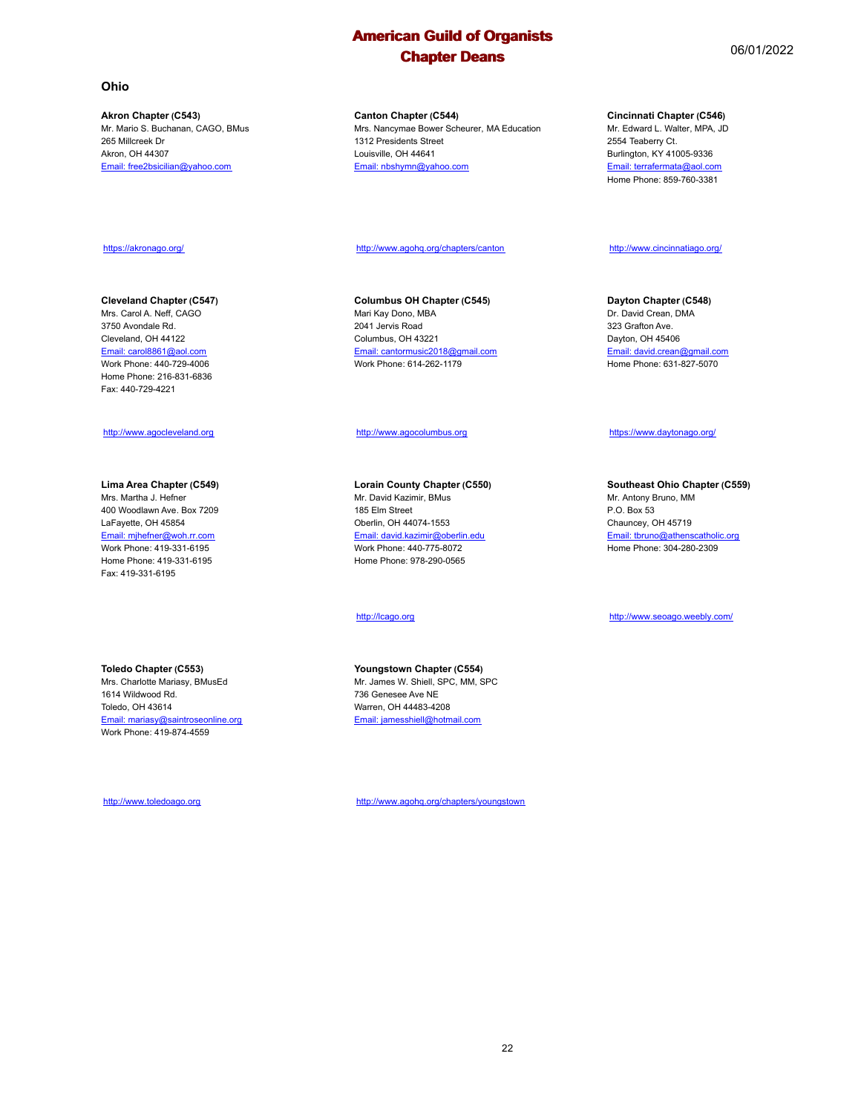#### **Ohio**

**Akron Chapter (C543)** Mr. Mario S. Buchanan, CAGO, BMus 265 Millcreek Dr Akron, OH 44307 Email: free2bsicilian@yahoo.com

#### **Canton Chapter (C544)**

Mrs. Nancymae Bower Scheurer, MA Education 1312 Presidents Street Louisville, OH 44641 Email: nbshymn@yahoo.com

#### **Cincinnati Chapter (C546)**

Mr. Edward L. Walter, MPA, JD 2554 Teaberry Ct. Burlington, KY 41005-9336 Email: terrafermata@aol.com Home Phone: 859-760-3381

#### https://akronago.org/

#### **Cleveland Chapter (C547)**

Mrs. Carol A. Neff, CAGO 3750 Avondale Rd. Cleveland, OH 44122 Email: carol8861@aol.com Work Phone: 440-729-4006 Home Phone: 216-831-6836 Fax: 440-729-4221

#### http://www.agocleveland.org

#### **Lima Area Chapter (C549)**

Mrs. Martha J. Hefner 400 Woodlawn Ave. Box 7209 LaFayette, OH 45854 Email: mjhefner@woh.rr.com Work Phone: 419-331-6195 Home Phone: 419-331-6195 Fax: 419-331-6195

#### **Toledo Chapter (C553)**

Mrs. Charlotte Mariasy, BMusEd 1614 Wildwood Rd. Toledo, OH 43614 Email: mariasy@saintroseonline.org Work Phone: 419-874-4559

http://www.toledoago.org

http://www.agohq.org/chapters/canton

#### **Columbus OH Chapter (C545)** Mari Kay Dono, MBA 2041 Jervis Road Columbus, OH 43221 Email: cantormusic2018@gmail.com Work Phone: 614-262-1179

#### http://www.agocolumbus.org

**Lorain County Chapter (C550)** Mr. David Kazimir, BMus 185 Elm Street Oberlin, OH 44074-1553 Email: david.kazimir@oberlin.edu Work Phone: 440-775-8072 Home Phone: 978-290-0565

#### http://lcago.org

**Youngstown Chapter (C554)** Mr. James W. Shiell, SPC, MM, SPC 736 Genesee Ave NE Warren, OH 44483-4208 Email: jamesshiell@hotmail.com

http://www.agohq.org/chapters/youngstown

### **Dayton Chapter (C548)**

http://www.cincinnatiago.org/

Dr. David Crean, DMA 323 Grafton Ave. Dayton, OH 45406 Email: david.crean@gmail.com Home Phone: 631-827-5070

#### https://www.daytonago.org/

#### **Southeast Ohio Chapter (C559)**

Mr. Antony Bruno, MM P.O. Box 53 Chauncey, OH 45719 Email: tbruno@athenscatholic.org Home Phone: 304-280-2309

#### http://www.seoago.weebly.com/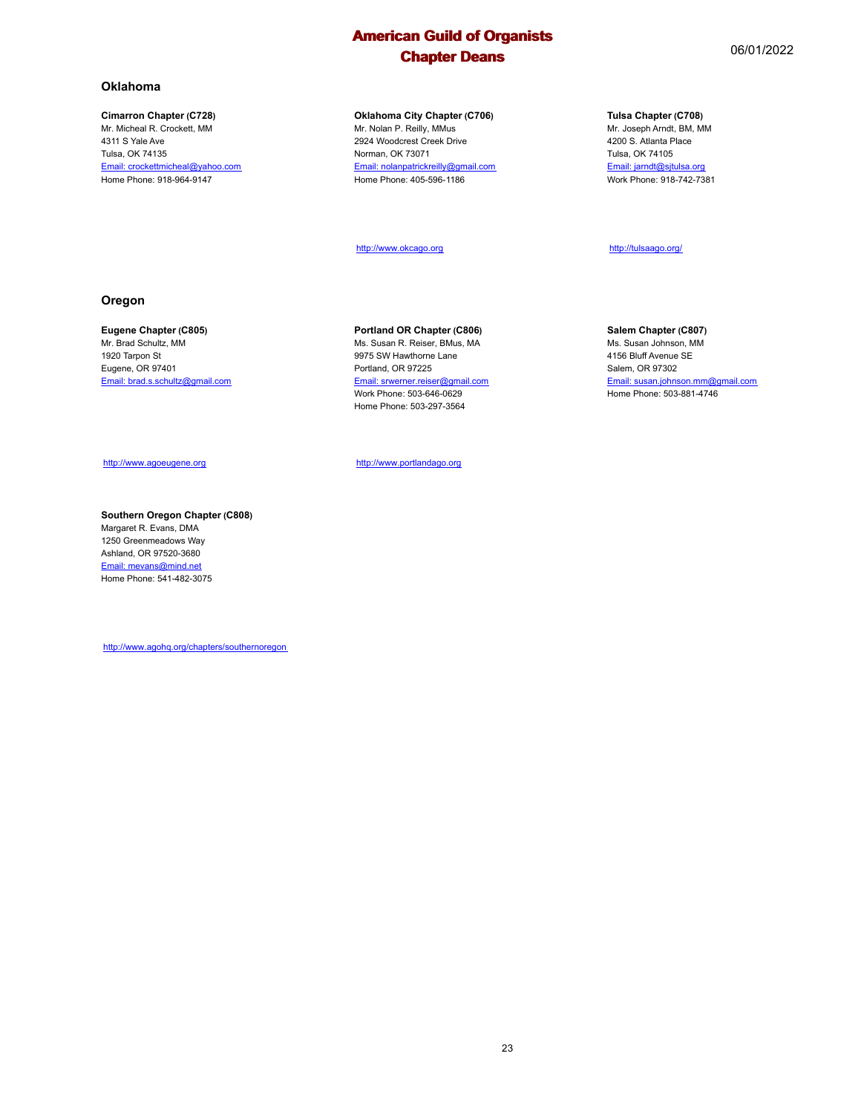#### **Oklahoma**

#### **Cimarron Chapter (C728)**

Mr. Micheal R. Crockett, MM 4311 S Yale Ave Tulsa, OK 74135 Email: crockettmicheal@yahoo.com Home Phone: 918-964-9147

#### **Oklahoma City Chapter (C706)**

Mr. Nolan P. Reilly, MMus 2924 Woodcrest Creek Drive Norman, OK 73071 Email: nolanpatrickreilly@gmail.com Home Phone: 405-596-1186

http://www.okcago.org

### **Tulsa Chapter (C708)**

Mr. Joseph Arndt, BM, MM 4200 S. Atlanta Place Tulsa, OK 74105 Email: jarndt@sjtulsa.org Work Phone: 918-742-7381

http://tulsaago.org/

#### **Oregon**

#### **Eugene Chapter (C805)**

Mr. Brad Schultz, MM 1920 Tarpon St Eugene, OR 97401 Email: brad.s.schultz@gmail.com

## http://www.agoeugene.org

#### **Southern Oregon Chapter (C808)** Margaret R. Evans, DMA

1250 Greenmeadows Way Ashland, OR 97520-3680 Email: mevans@mind.net Home Phone: 541-482-3075

http://www.agohq.org/chapters/southernoregon

### **Portland OR Chapter (C806)**

Ms. Susan R. Reiser, BMus, MA 9975 SW Hawthorne Lane Portland, OR 97225 Email: srwerner.reiser@gmail.com Work Phone: 503-646-0629 Home Phone: 503-297-3564

http://www.portlandago.org

#### **Salem Chapter (C807)**

Ms. Susan Johnson, MM 4156 Bluff Avenue SE Salem, OR 97302 Email: susan.johnson.mm@gmail.com Home Phone: 503-881-4746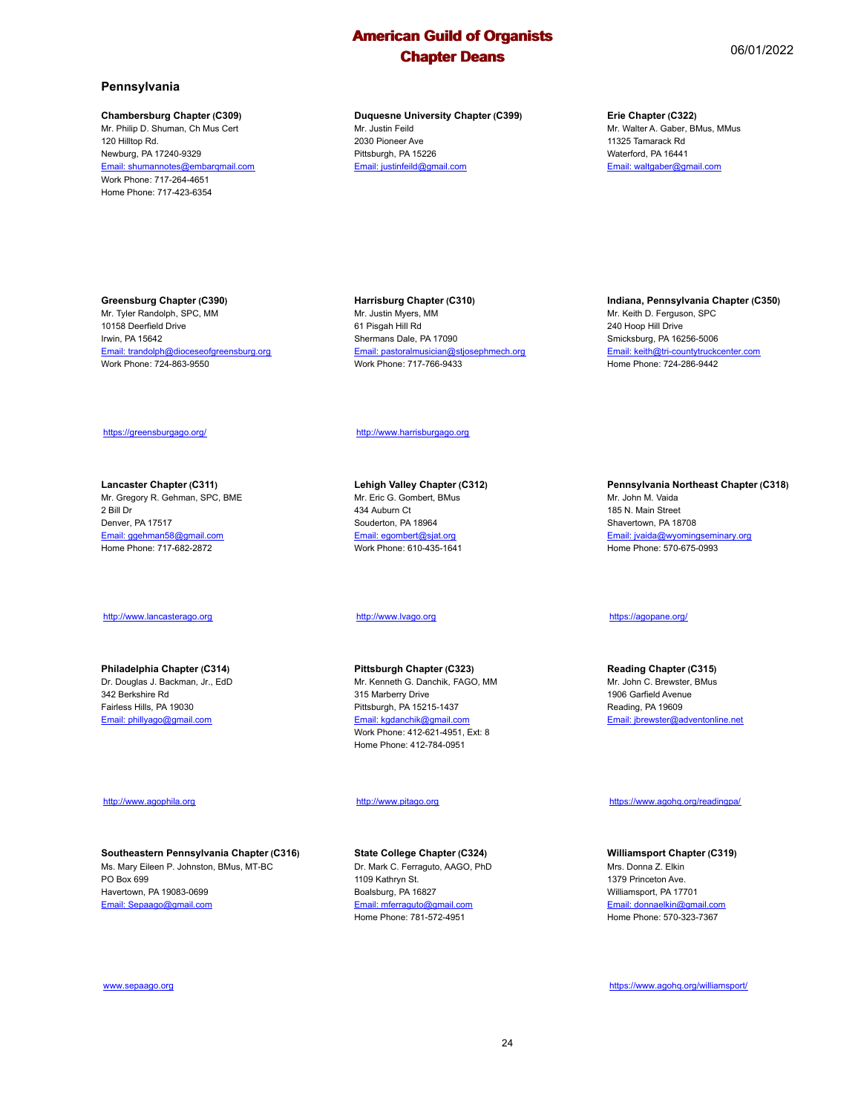#### **Pennsylvania**

#### **Chambersburg Chapter (C309)**

Mr. Philip D. Shuman, Ch Mus Cert 120 Hilltop Rd. Newburg, PA 17240-9329 Email: shumannotes@embarqmail.com Work Phone: 717-264-4651 Home Phone: 717-423-6354

#### **Duquesne University Chapter (C399)** Mr. Justin Feild 2030 Pioneer Ave Pittsburgh, PA 15226 Email: justinfeild@gmail.com

#### **Erie Chapter (C322)**

Mr. Walter A. Gaber, BMus, MMus 11325 Tamarack Rd Waterford, PA 16441 Email: waltgaber@gmail.com

#### **Greensburg Chapter (C390)**

Mr. Tyler Randolph, SPC, MM 10158 Deerfield Drive Irwin, PA 15642 Email: trandolph@dioceseofgreensburg.org Work Phone: 724-863-9550

#### **Harrisburg Chapter (C310)**

Mr. Justin Myers, MM 61 Pisgah Hill Rd Shermans Dale, PA 17090 Email: pastoralmusician@stjosephmech.org Work Phone: 717-766-9433

### **Indiana, Pennsylvania Chapter (C350)**

Mr. Keith D. Ferguson, SPC 240 Hoop Hill Drive Smicksburg, PA 16256-5006 Email: keith@tri-countytruckcenter.com Home Phone: 724-286-9442

#### https://greensburgago.org/

**Lancaster Chapter (C311)** Mr. Gregory R. Gehman, SPC, BME 2 Bill Dr Denver, PA 17517 Email: ggehman58@gmail.com Home Phone: 717-682-2872

#### http://www.lancasterago.org

**Philadelphia Chapter (C314)** Dr. Douglas J. Backman, Jr., EdD 342 Berkshire Rd Fairless Hills, PA 19030 Email: phillyago@gmail.com

#### http://www.agophila.org

**Southeastern Pennsylvania Chapter (C316)** Ms. Mary Eileen P. Johnston, BMus, MT-BC PO Box 699 Havertown, PA 19083-0699 Email: Sepaago@gmail.com

http://www.harrisburgago.org

**Lehigh Valley Chapter (C312)** Mr. Eric G. Gombert, BMus 434 Auburn Ct Souderton, PA 18964 Email: egombert@sjat.org Work Phone: 610-435-1641

#### http://www.lvago.org

**Pittsburgh Chapter (C323)** Mr. Kenneth G. Danchik, FAGO, MM 315 Marberry Drive Pittsburgh, PA 15215-1437 Email: kgdanchik@gmail.com Work Phone: 412-621-4951, Ext: 8 Home Phone: 412-784-0951

#### http://www.pitago.org

**State College Chapter (C324)** Dr. Mark C. Ferraguto, AAGO, PhD 1109 Kathryn St. Boalsburg, PA 16827 Email: mferraguto@gmail.com Home Phone: 781-572-4951

**Pennsylvania Northeast Chapter (C318)** Mr. John M. Vaida 185 N. Main Street Shavertown, PA 18708

Email: jvaida@wyomingseminary.org Home Phone: 570-675-0993

#### https://agopane.org/

**Reading Chapter (C315)** Mr. John C. Brewster, BMus 1906 Garfield Avenue Reading, PA 19609 Email: jbrewster@adventonline.net

#### https://www.agohq.org/readingpa/

**Williamsport Chapter (C319)** Mrs. Donna Z. Elkin 1379 Princeton Ave. Williamsport, PA 17701 Email: donnaelkin@gmail.com Home Phone: 570-323-7367

www.sepaago.org

https://www.agohq.org/williamsport/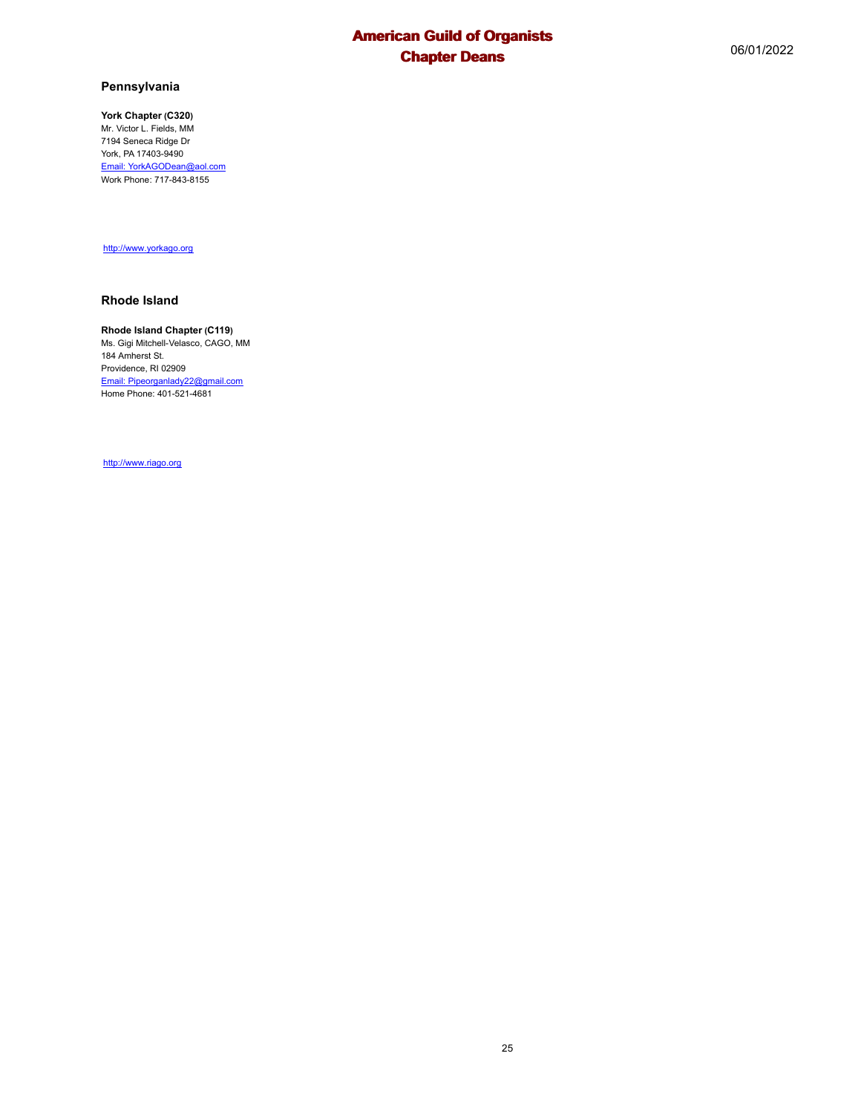## **Pennsylvania**

**York Chapter (C320)** Mr. Victor L. Fields, MM 7194 Seneca Ridge Dr York, PA 17403-9490 Email: YorkAGODean@aol.com Work Phone: 717-843-8155

http://www.yorkago.org

#### **Rhode Island**

#### **Rhode Island Chapter (C119)**

Ms. Gigi Mitchell-Velasco, CAGO, MM 184 Amherst St. Providence, RI 02909 Email: Pipeorganlady22@gmail.com Home Phone: 401-521-4681

http://www.riago.org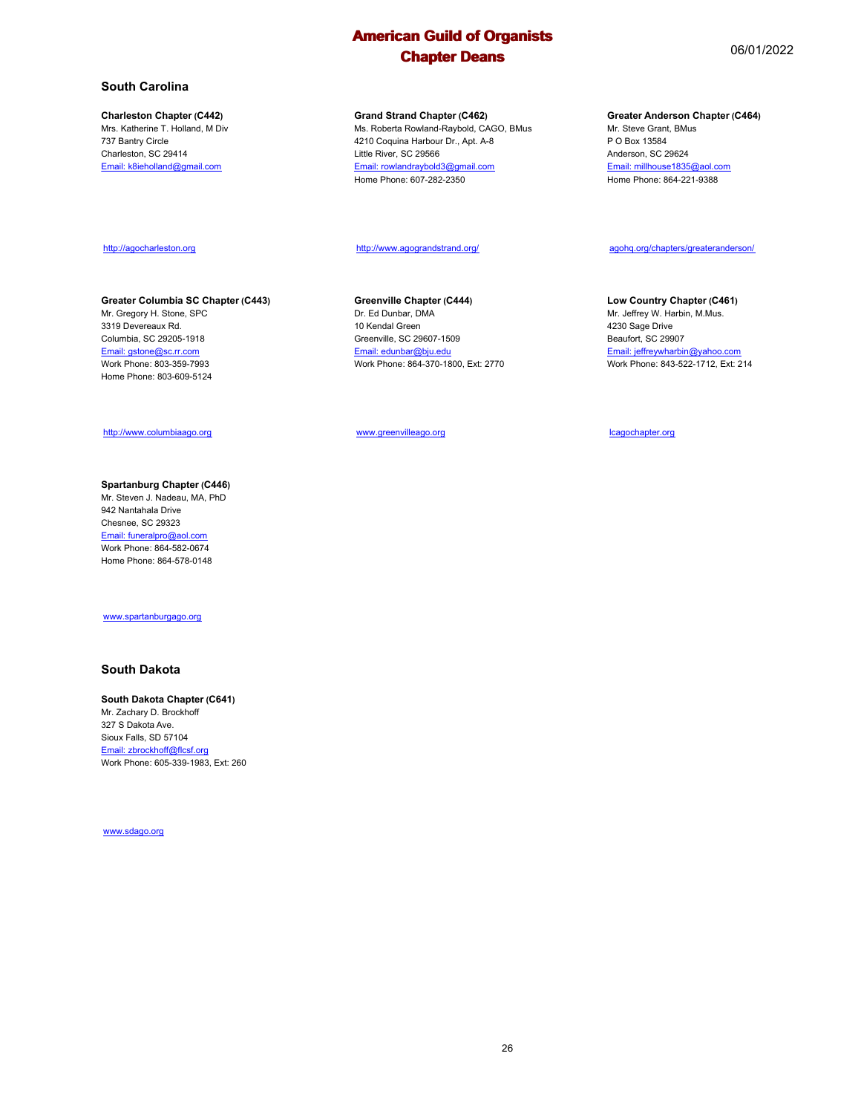#### **Charleston Chapter (C442)**

Mrs. Katherine T. Holland, M Div 737 Bantry Circle Charleston, SC 29414 Email: k8ieholland@gmail.com

#### **Grand Strand Chapter (C462)**

Ms. Roberta Rowland-Raybold, CAGO, BMus 4210 Coquina Harbour Dr., Apt. A-8 Little River, SC 29566 Email: rowlandraybold3@gmail.com Home Phone: 607-282-2350

#### **Greater Anderson Chapter (C464)**

agohq.org/chapters/greateranderson/

**Low Country Chapter (C461)** Mr. Jeffrey W. Harbin, M.Mus.

Email: jeffreywharbin@yahoo.com Work Phone: 843-522-1712, Ext: 214

Mr. Steve Grant, BMus P O Box 13584 Anderson, SC 29624 Email: millhouse1835@aol.com Home Phone: 864-221-9388

#### http://agocharleston.org

#### **Greater Columbia SC Chapter (C443)**

Mr. Gregory H. Stone, SPC 3319 Devereaux Rd. Columbia, SC 29205-1918 Email: gstone@sc.rr.com Work Phone: 803-359-7993 Home Phone: 803-609-5124

#### http://www.columbiaago.org

#### **Spartanburg Chapter (C446)** Mr. Steven J. Nadeau, MA, PhD 942 Nantahala Drive Chesnee, SC 29323 Email: funeralpro@aol.com Work Phone: 864-582-0674 Home Phone: 864-578-0148

#### www.spartanburgago.org

#### **South Dakota**

#### **South Dakota Chapter (C641)**

Mr. Zachary D. Brockhoff 327 S Dakota Ave. Sioux Falls, SD 57104 Email: zbrockhoff@flcsf.org Work Phone: 605-339-1983, Ext: 260

www.sdago.org

### http://www.agograndstrand.org/

#### **Greenville Chapter (C444)**

Dr. Ed Dunbar, DMA 10 Kendal Green Greenville, SC 29607-1509 Email: edunbar@bju.edu Work Phone: 864-370-1800, Ext: 2770

www.greenvilleago.org

lcagochapter.org

4230 Sage Drive Beaufort, SC 29907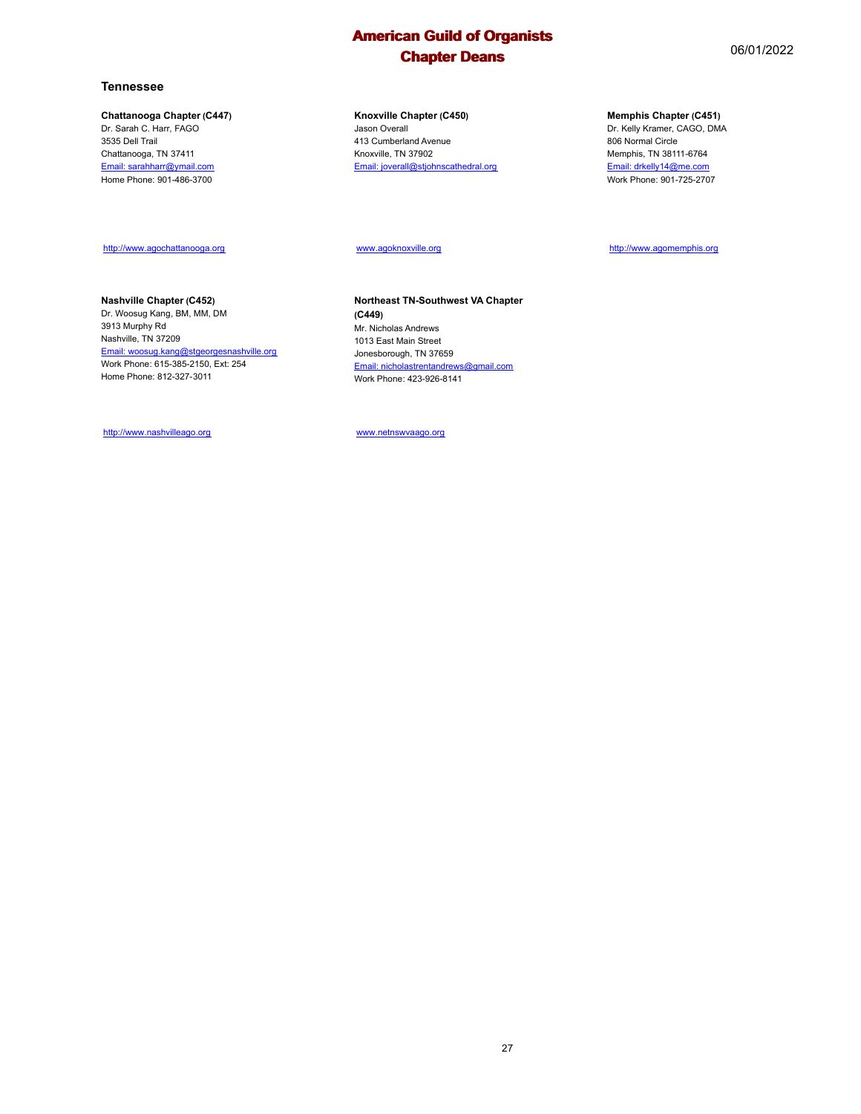#### **Tennessee**

#### **Chattanooga Chapter (C447)**

Dr. Sarah C. Harr, FAGO 3535 Dell Trail Chattanooga, TN 37411 Email: sarahharr@ymail.com Home Phone: 901-486-3700

#### **Knoxville Chapter (C450)** Jason Overall 413 Cumberland Avenue Knoxville, TN 37902 Email: joverall@stjohnscathedral.org

**Northeast TN-Southwest VA Chapter**

Email: nicholastrentandrews@gmail.com Work Phone: 423-926-8141

#### **Memphis Chapter (C451)**

Dr. Kelly Kramer, CAGO, DMA 806 Normal Circle Memphis, TN 38111-6764 Email: drkelly14@me.com Work Phone: 901-725-2707

#### http://www.agochattanooga.org

## **Nashville Chapter (C452)**

Dr. Woosug Kang, BM, MM, DM 3913 Murphy Rd Nashville, TN 37209 Email: woosug.kang@stgeorgesnashville.org Work Phone: 615-385-2150, Ext: 254 Home Phone: 812-327-3011

http://www.nashvilleago.org

www.netnswvaago.org

www.agoknoxville.org

Mr. Nicholas Andrews 1013 East Main Street Jonesborough, TN 37659

**(C449)**

http://www.agomemphis.org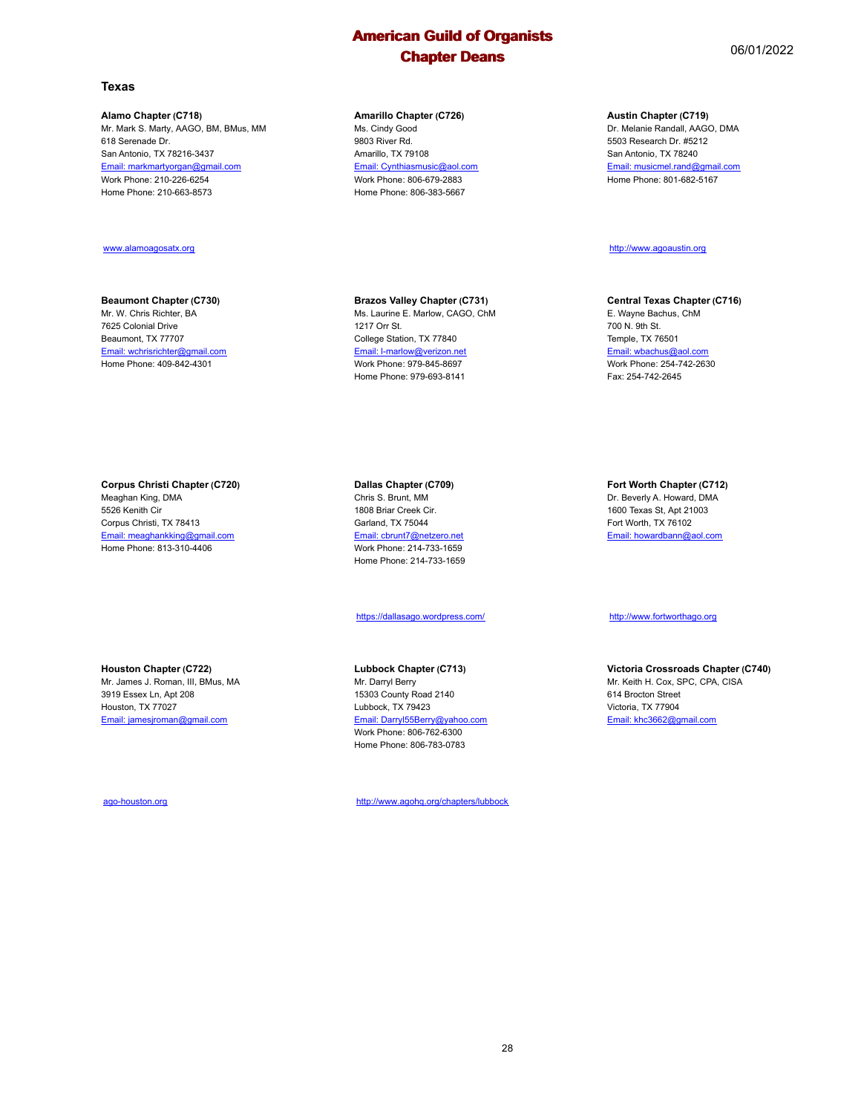#### **Alamo Chapter (C718)**

Mr. Mark S. Marty, AAGO, BM, BMus, MM 618 Serenade Dr. San Antonio, TX 78216-3437 Email: markmartyorgan@gmail.com Work Phone: 210-226-6254 Home Phone: 210-663-8573

#### www.alamoagosatx.org

### **Beaumont Chapter (C730)**

Mr. W. Chris Richter, BA 7625 Colonial Drive Beaumont, TX 77707 Email: wchrisrichter@gmail.com Home Phone: 409-842-4301

#### **Corpus Christi Chapter (C720)**

Meaghan King, DMA 5526 Kenith Cir Corpus Christi, TX 78413 Email: meaghankking@gmail.com Home Phone: 813-310-4406

# **Houston Chapter (C722)**

Mr. James J. Roman, III, BMus, MA 3919 Essex Ln, Apt 208 Houston, TX 77027 Email: jamesjroman@gmail.com

ago-houston.org

#### **Amarillo Chapter (C726)**

Ms. Cindy Good 9803 River Rd. Amarillo, TX 79108 Email: Cynthiasmusic@aol.com Work Phone: 806-679-2883 Home Phone: 806-383-5667

## **Brazos Valley Chapter (C731)**

Ms. Laurine E. Marlow, CAGO, ChM 1217 Orr St. College Station, TX 77840 Email: l-marlow@verizon.net Work Phone: 979-845-8697 Home Phone: 979-693-8141

#### **Dallas Chapter (C709)** Chris S. Brunt, MM 1808 Briar Creek Cir. Garland, TX 75044 Email: cbrunt7@netzero.net Work Phone: 214-733-1659 Home Phone: 214-733-1659

https://dallasago.wordpress.com/

#### **Lubbock Chapter (C713)**

Mr. Darryl Berry 15303 County Road 2140 Lubbock, TX 79423 Email: Darryl55Berry@yahoo. Work Phone: 806-762-6300 Home Phone: 806-783-0783

http://www.agohq.org/chapters/lubbock

#### **Austin Chapter (C719)**

Dr. Melanie Randall, AAGO, DMA 5503 Research Dr. #5212 San Antonio, TX 78240 Email: musicmel.rand@gmail.com Home Phone: 801-682-5167

http://www.agoaustin.org

#### **Central Texas Chapter (C716)**

E. Wayne Bachus, ChM 700 N. 9th St. Temple, TX 76501 Email: wbachus@aol.com Work Phone: 254-742-2630 Fax: 254-742-2645

**Fort Worth Chapter (C712)** Dr. Beverly A. Howard, DMA

1600 Texas St, Apt 21003 Fort Worth, TX 76102 Email: howardbann@aol.com

http://www.fortworthago.org

**Victoria Crossroads Chapter (C740)** Mr. Keith H. Cox, SPC, CPA, CISA 614 Brocton Street Victoria, TX 77904 Email: khc3662@gmail.com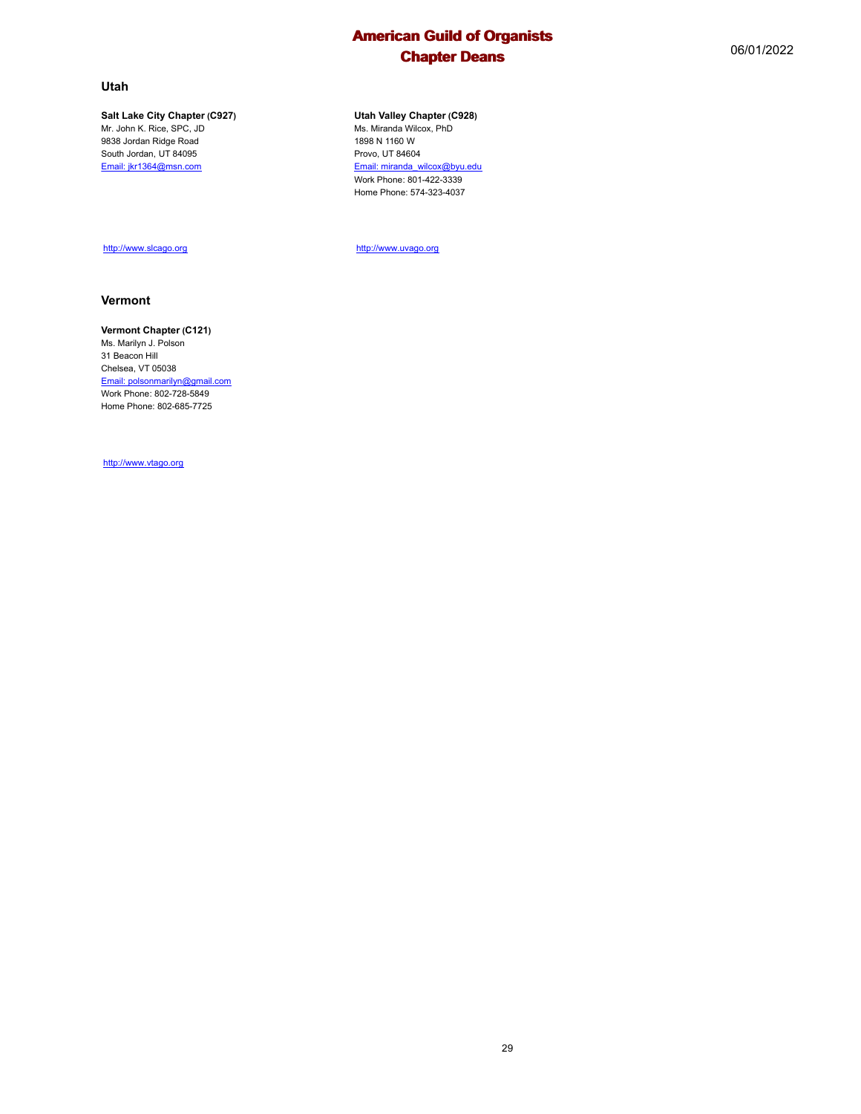#### **Utah**

#### **Salt Lake City Chapter (C927)**

Mr. John K. Rice, SPC, JD 9838 Jordan Ridge Road South Jordan, UT 84095 Email: jkr1364@msn.com

### **Utah Valley Chapter (C928)**

Ms. Miranda Wilcox, PhD 1898 N 1160 W Provo, UT 84604 Email: miranda\_wilcox@byu.edu Work Phone: 801-422-3339 Home Phone: 574-323-4037

http://www.uvago.org

#### **Vermont**

#### **Vermont Chapter (C121)**

http://www.slcago.org

Ms. Marilyn J. Polson 31 Beacon Hill Chelsea, VT 05038 Email: polsonmarilyn@gmail.com Work Phone: 802-728-5849 Home Phone: 802-685-7725

http://www.vtago.org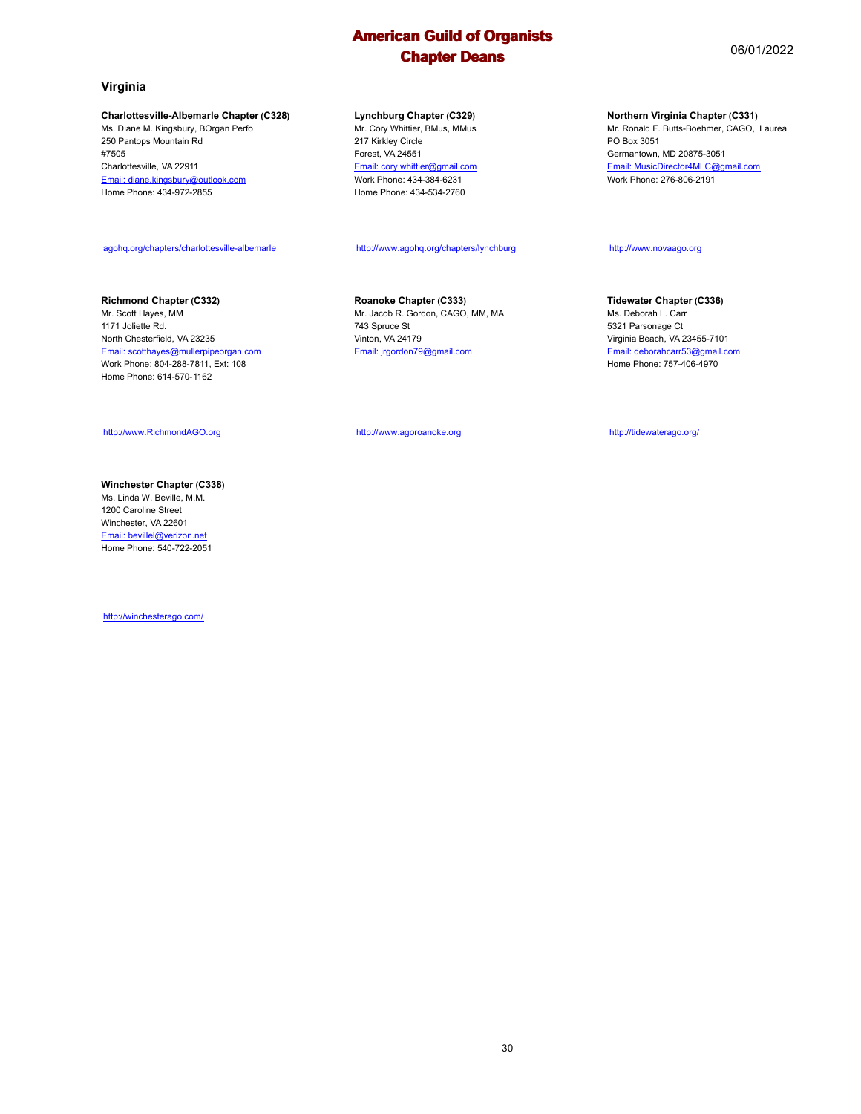#### **Charlottesville-Albemarle Chapter (C328)**

Ms. Diane M. Kingsbury, BOrgan Perfo 250 Pantops Mountain Rd #7505 Charlottesville, VA 22911 Email: diane.kingsbury@outlook.com Home Phone: 434-972-2855

#### **Lynchburg Chapter (C329)**

Mr. Cory Whittier, BMus, MMus 217 Kirkley Circle Forest, VA 24551 Email: cory.whittier@gmail.com Work Phone: 434-384-6231 Home Phone: 434-534-2760

#### http://www.agohq.org/chapters/lynchburg

**Richmond Chapter (C332)**

Mr. Scott Hayes, MM 1171 Joliette Rd. North Chesterfield, VA 23235 Email: scotthayes@mullerpipeorgan.com Work Phone: 804-288-7811, Ext: 108 Home Phone: 614-570-1162

agohq.org/chapters/charlottesville-albemarle

http://www.RichmondAGO.org

#### **Winchester Chapter (C338)** Ms. Linda W. Beville, M.M. 1200 Caroline Street Winchester, VA 22601 Email: bevillel@verizon.net Home Phone: 540-722-2051

http://winchesterago.com/

**Roanoke Chapter (C333)** Mr. Jacob R. Gordon, CAGO, MM, MA 743 Spruce St Vinton, VA 24179 Email: jrgordon79@gmail.com

http://www.agoroanoke.org

#### **Northern Virginia Chapter (C331)**

Mr. Ronald F. Butts-Boehmer, CAGO, Laurea PO Box 3051 Germantown, MD 20875-3051 Email: MusicDirector4MLC@gmail.com Work Phone: 276-806-2191

http://www.novaago.org

**Tidewater Chapter (C336)** Ms. Deborah L. Carr 5321 Parsonage Ct Virginia Beach, VA 23455-7101 Email: deborahcarr53@gmail.com Home Phone: 757-406-4970

http://tidewaterago.org/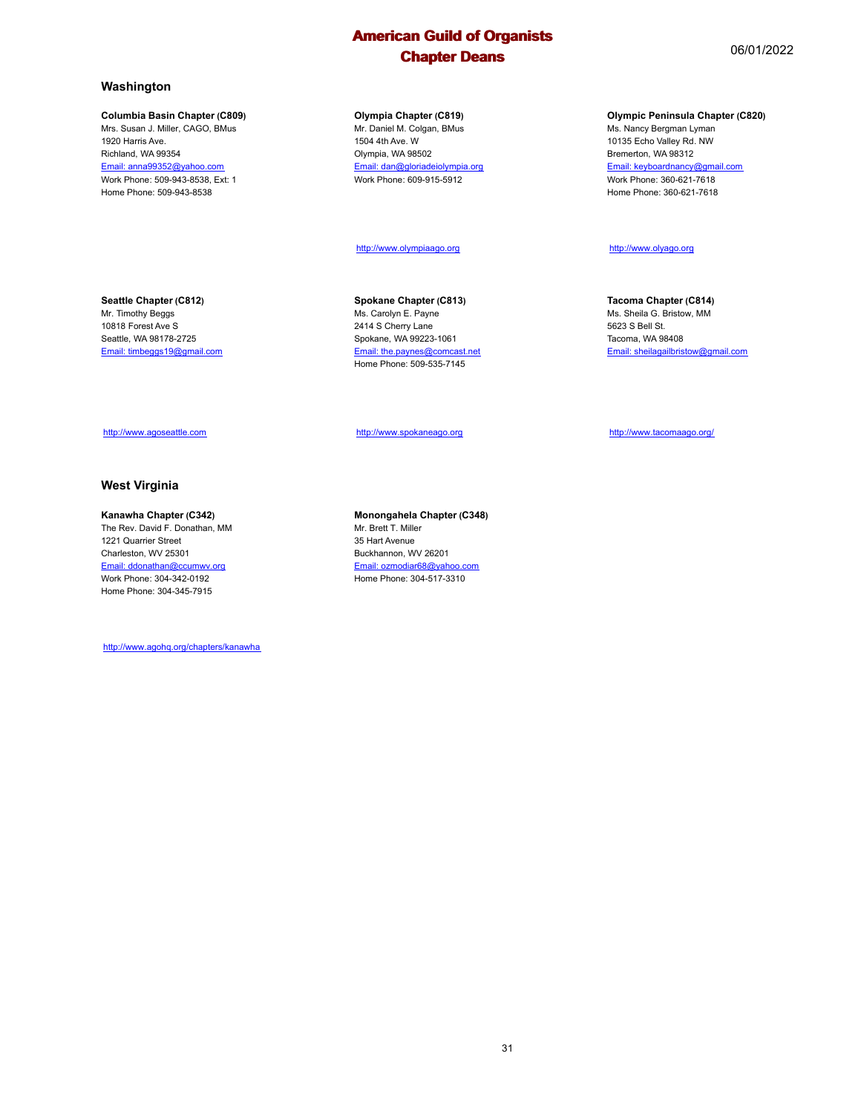#### **Columbia Basin Chapter (C809)**

Mrs. Susan J. Miller, CAGO, BMus 1920 Harris Ave. Richland, WA 99354 Email: anna99352@yahoo.com Work Phone: 509-943-8538, Ext: 1 Home Phone: 509-943-8538

#### **Olympia Chapter (C819)**

Mr. Daniel M. Colgan, BMus 1504 4th Ave. W Olympia, WA 98502 Email: dan@gloriadeiolympia.org Work Phone: 609-915-5912

#### http://www.olympiaago.org

**Seattle Chapter (C812)**

Mr. Timothy Beggs 10818 Forest Ave S Seattle, WA 98178-2725 Email: timbeggs19@gmail.com

**Spokane Chapter (C813)** Ms. Carolyn E. Payne 2414 S Cherry Lane Spokane, WA 99223-1061 Email: the.paynes@comcast.net Home Phone: 509-535-7145

http://www.spokaneago.org

http://www.tacomaago.org/

## http://www.agoseattle.com

#### **West Virginia**

#### **Kanawha Chapter (C342)**

The Rev. David F. Donathan, MM 1221 Quarrier Street Charleston, WV 25301 Email: ddonathan@ccumwv.org Work Phone: 304-342-0192 Home Phone: 304-345-7915

http://www.agohq.org/chapters/kanawha

**Monongahela Chapter (C348)** Mr. Brett T. Miller 35 Hart Avenue Buckhannon, WV 26201 Email: ozmodiar68@yahoo.com Home Phone: 304-517-3310

31

#### **Olympic Peninsula Chapter (C820)**

Ms. Nancy Bergman Lyman 10135 Echo Valley Rd. NW Bremerton, WA 98312 Email: keyboardnancy@gmail.com Work Phone: 360-621-7618 Home Phone: 360-621-7618

http://www.olyago.org

**Tacoma Chapter (C814)** Ms. Sheila G. Bristow, MM 5623 S Bell St. Tacoma, WA 98408

Email: sheilagailbristow@gmail.com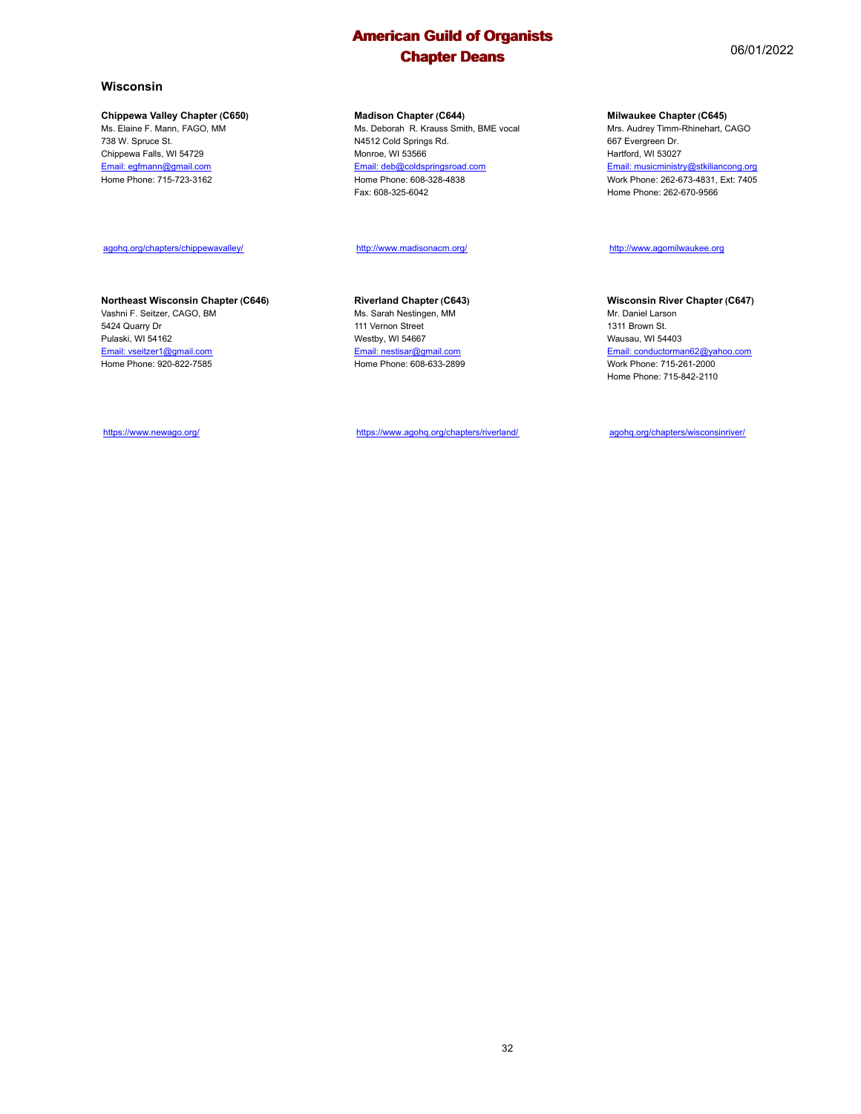#### **Wisconsin**

#### **Chippewa Valley Chapter (C650)**

Ms. Elaine F. Mann, FAGO, MM 738 W. Spruce St. Chippewa Falls, WI 54729 Email: egfmann@gmail.com Home Phone: 715-723-3162

#### agohq.org/chapters/chippewavalley/

#### **Northeast Wisconsin Chapter (C646)**

Vashni F. Seitzer, CAGO, BM 5424 Quarry Dr Pulaski, WI 54162 Email: vseitzer1@gmail.com Home Phone: 920-822-7585

**Madison Chapter (C644)** Ms. Deborah R. Krauss Smith, BME vocal

N4512 Cold Springs Rd. Monroe, WI 53566 Email: deb@coldspringsroad.com Home Phone: 608-328-4838 Fax: 608-325-6042

#### http://www.madisonacm.org/

**Riverland Chapter (C643)** Ms. Sarah Nestingen, MM 111 Vernon Street Westby, WI 54667 Email: nestisar@gmail.com Home Phone: 608-633-2899

https://www.agohq.org/chapters/riverland/

**Milwaukee Chapter (C645)**

Mrs. Audrey Timm-Rhinehart, CAGO 667 Evergreen Dr. Hartford, WI 53027 Email: musicministry@stkiliancong.org Work Phone: 262-673-4831, Ext: 7405 Home Phone: 262-670-9566

## http://www.agomilwaukee.org

**Wisconsin River Chapter (C647)**

Mr. Daniel Larson 1311 Brown St. Wausau, WI 54403 Email: conductorman62@yahoo.com Work Phone: 715-261-2000 Home Phone: 715-842-2110

agohq.org/chapters/wisconsinriver/

https://www.newago.org/